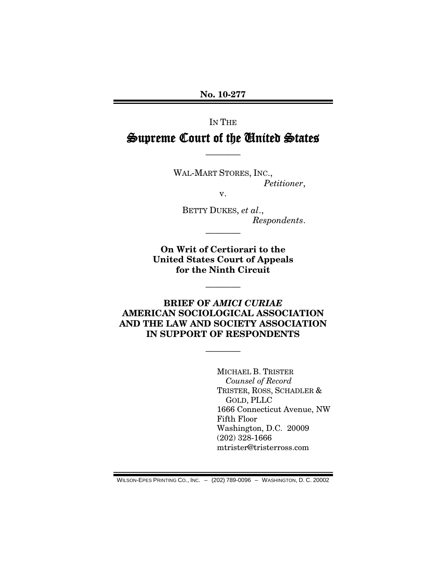**No. 10-277**

#### IN THE

# Supreme Court of the United States

————

WAL-MART STORES, INC., *Petitioner*,

v.

BETTY DUKES, *et al*., *Respondents*.

**On Writ of Certiorari to the United States Court of Appeals for the Ninth Circuit**

————

————

**BRIEF OF** *AMICI CURIAE* **AMERICAN SOCIOLOGICAL ASSOCIATION AND THE LAW AND SOCIETY ASSOCIATION IN SUPPORT OF RESPONDENTS**

————

MICHAEL B. TRISTER *Counsel of Record* TRISTER, ROSS, SCHADLER & GOLD, PLLC 1666 Connecticut Avenue, NW Fifth Floor Washington, D.C. 20009 (202) 328-1666 mtrister@tristerross.com

WILSON-EPES PRINTING CO., INC. – (202) 789-0096 – WASHINGTON, D. C. 20002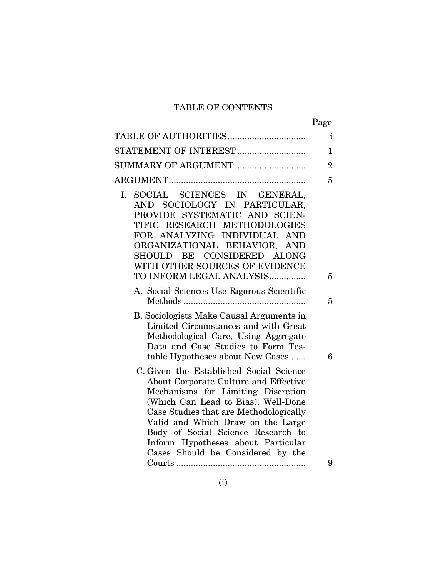## TABLE OF CONTENTS

| TABLE OF AUTHORITIES                                                                                                                                                                                                                                                                                                                                          | $\mathbf{i}$   |
|---------------------------------------------------------------------------------------------------------------------------------------------------------------------------------------------------------------------------------------------------------------------------------------------------------------------------------------------------------------|----------------|
| STATEMENT OF INTEREST                                                                                                                                                                                                                                                                                                                                         | $\mathbf{1}$   |
| SUMMARY OF ARGUMENT                                                                                                                                                                                                                                                                                                                                           | $\overline{2}$ |
|                                                                                                                                                                                                                                                                                                                                                               | 5              |
| SOCIAL SCIENCES IN GENERAL,<br>Ι.<br>AND SOCIOLOGY IN PARTICULAR,<br>PROVIDE SYSTEMATIC AND SCIEN-<br>TIFIC RESEARCH METHODOLOGIES<br>FOR ANALYZING INDIVIDUAL AND<br>ORGANIZATIONAL BEHAVIOR, AND<br>SHOULD BE CONSIDERED ALONG<br>WITH OTHER SOURCES OF EVIDENCE<br>TO INFORM LEGAL ANALYSIS                                                                | 5              |
| A. Social Sciences Use Rigorous Scientific                                                                                                                                                                                                                                                                                                                    | 5              |
| B. Sociologists Make Causal Arguments in<br>Limited Circumstances and with Great<br>Methodological Care, Using Aggregate<br>Data and Case Studies to Form Tes-<br>table Hypotheses about New Cases                                                                                                                                                            | 6              |
| C. Given the Established Social Science<br>About Corporate Culture and Effective<br>Mechanisms for Limiting Discretion<br>(Which Can Lead to Bias), Well-Done<br>Case Studies that are Methodologically<br>Valid and Which Draw on the Large<br>Body of Social Science Research to<br>Inform Hypotheses about Particular<br>Cases Should be Considered by the |                |
|                                                                                                                                                                                                                                                                                                                                                               | 9              |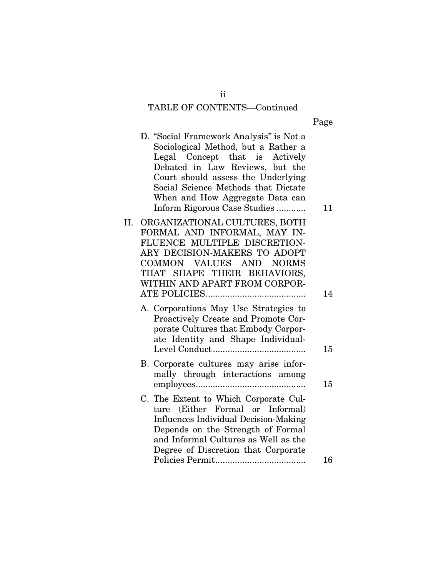# TABLE OF CONTENTS—Continued

| О<br>я<br>۰.<br>L<br>ı. |  |
|-------------------------|--|

|    | D. "Social Framework Analysis" is Not a<br>Sociological Method, but a Rather a<br>Legal Concept that is Actively<br>Debated in Law Reviews, but the<br>Court should assess the Underlying<br>Social Science Methods that Dictate<br>When and How Aggregate Data can<br>Inform Rigorous Case Studies | 11 |
|----|-----------------------------------------------------------------------------------------------------------------------------------------------------------------------------------------------------------------------------------------------------------------------------------------------------|----|
| П. | ORGANIZATIONAL CULTURES, BOTH<br>FORMAL AND INFORMAL, MAY IN-<br>FLUENCE MULTIPLE DISCRETION-<br>ARY DECISION-MAKERS TO ADOPT<br>COMMON VALUES AND NORMS<br>THAT SHAPE THEIR BEHAVIORS,<br>WITHIN AND APART FROM CORPOR-                                                                            | 14 |
|    | A. Corporations May Use Strategies to<br>Proactively Create and Promote Cor-<br>porate Cultures that Embody Corpor-<br>ate Identity and Shape Individual-                                                                                                                                           | 15 |
|    | B. Corporate cultures may arise infor-<br>mally through interactions among                                                                                                                                                                                                                          | 15 |
|    | C. The Extent to Which Corporate Cul-<br>(Either Formal or Informal)<br>ture<br><b>Influences Individual Decision-Making</b><br>Depends on the Strength of Formal<br>and Informal Cultures as Well as the<br>Degree of Discretion that Corporate                                                    |    |
|    |                                                                                                                                                                                                                                                                                                     | 16 |

ii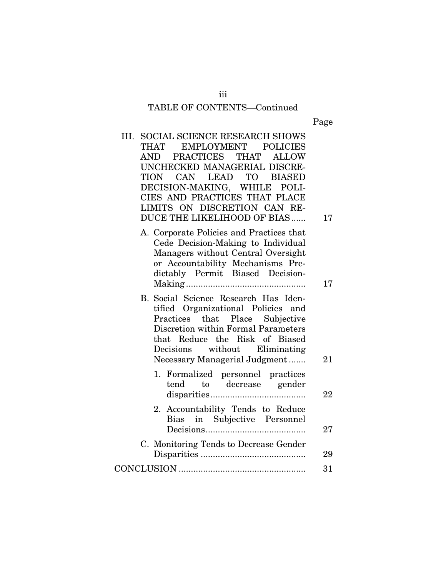# TABLE OF CONTENTS—Continued

Page

| III. SOCIAL SCIENCE RESEARCH SHOWS<br>EMPLOYMENT POLICIES<br><b>THAT</b><br>PRACTICES THAT<br><b>ALLOW</b><br>AND<br>UNCHECKED MANAGERIAL DISCRE-<br>TION CAN LEAD TO BIASED<br>DECISION-MAKING, WHILE POLI-<br>CIES AND PRACTICES THAT PLACE<br>LIMITS ON DISCRETION CAN RE-<br>DUCE THE LIKELIHOOD OF BIAS | 17     |
|--------------------------------------------------------------------------------------------------------------------------------------------------------------------------------------------------------------------------------------------------------------------------------------------------------------|--------|
| A. Corporate Policies and Practices that<br>Cede Decision-Making to Individual<br>Managers without Central Oversight<br>or Accountability Mechanisms Pre-<br>dictably Permit Biased Decision-                                                                                                                | 17     |
| B. Social Science Research Has Iden-<br>tified Organizational Policies and<br>Practices that Place Subjective<br>Discretion within Formal Parameters<br>that Reduce the Risk of Biased<br>Decisions without Eliminating<br>Necessary Managerial Judgment                                                     | 21     |
| 1. Formalized personnel practices<br>tend to decrease gender                                                                                                                                                                                                                                                 | 22     |
| Accountability Tends to Reduce<br>2.<br>Bias in Subjective Personnel                                                                                                                                                                                                                                         | $27\,$ |
| C. Monitoring Tends to Decrease Gender                                                                                                                                                                                                                                                                       | 29     |
|                                                                                                                                                                                                                                                                                                              | 31     |

iii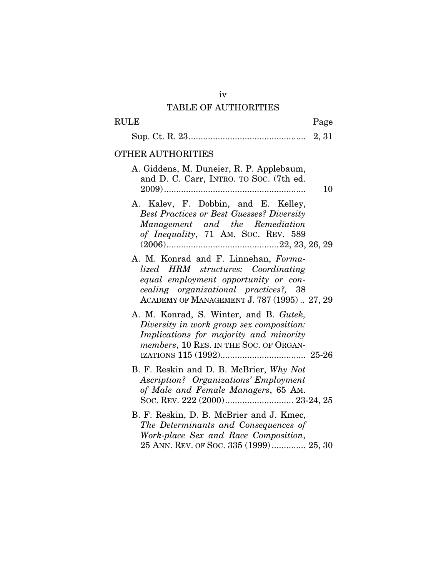## TABLE OF AUTHORITIES

| $\rm RULE$<br>Page                                                                                                                                                                                        |    |
|-----------------------------------------------------------------------------------------------------------------------------------------------------------------------------------------------------------|----|
|                                                                                                                                                                                                           |    |
| OTHER AUTHORITIES                                                                                                                                                                                         |    |
| A. Giddens, M. Duneier, R. P. Applebaum,<br>and D. C. Carr, INTRO. TO SOC. (7th ed.                                                                                                                       | 10 |
| A. Kalev, F. Dobbin, and E. Kelley,<br><b>Best Practices or Best Guesses? Diversity</b><br>Management and the Remediation<br>of Inequality, 71 AM. Soc. REV. 589                                          |    |
| A. M. Konrad and F. Linnehan, Forma-<br>lized HRM structures: Coordinating<br>equal employment opportunity or con-<br>cealing organizational practices?, 38<br>ACADEMY OF MANAGEMENT J. 787 (1995) 27, 29 |    |
| A. M. Konrad, S. Winter, and B. Gutek,<br>Diversity in work group sex composition:<br>Implications for majority and minority<br>members, 10 RES. IN THE SOC. OF ORGAN-                                    |    |
| B. F. Reskin and D. B. McBrier, Why Not<br><b>Ascription?</b> Organizations' Employment<br>of Male and Female Managers, 65 AM.                                                                            |    |
| B. F. Reskin, D. B. McBrier and J. Kmec,<br>The Determinants and Consequences of<br>Work-place Sex and Race Composition,<br>25 ANN. REV. OF SOC. 335 (1999) 25, 30                                        |    |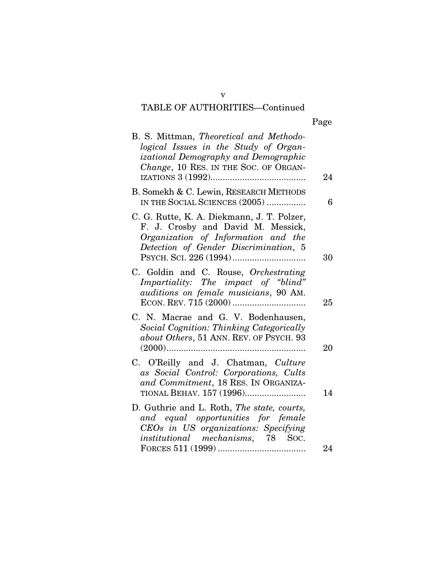| Jag<br>ρ |
|----------|
|----------|

| B. S. Mittman, Theoretical and Methodo-<br>logical Issues in the Study of Organ-<br>izational Demography and Demographic<br>Change, 10 RES. IN THE SOC. OF ORGAN- | 24 |
|-------------------------------------------------------------------------------------------------------------------------------------------------------------------|----|
| B. Somekh & C. Lewin, RESEARCH METHODS<br>IN THE SOCIAL SCIENCES (2005)                                                                                           | 6  |
| C. G. Rutte, K. A. Diekmann, J. T. Polzer,<br>F. J. Crosby and David M. Messick,<br>Organization of Information and the<br>Detection of Gender Discrimination, 5  | 30 |
| C. Goldin and C. Rouse, Orchestrating<br>Impartiality: The impact of "blind"<br>auditions on female musicians, 90 AM.                                             | 25 |
| C. N. Macrae and G. V. Bodenhausen,<br>Social Cognition: Thinking Categorically<br>about Others, 51 ANN. REV. OF PSYCH. 93<br>$(2000)$                            | 20 |
| C. O'Reilly and J. Chatman, Culture<br>as Social Control: Corporations, Cults<br>and Commitment, 18 RES. IN ORGANIZA-                                             | 14 |
| D. Guthrie and L. Roth, The state, courts,<br>and equal opportunities for female<br>CEOs in US organizations: Specifying<br>institutional mechanisms, 78 Soc.     |    |
|                                                                                                                                                                   | 24 |

v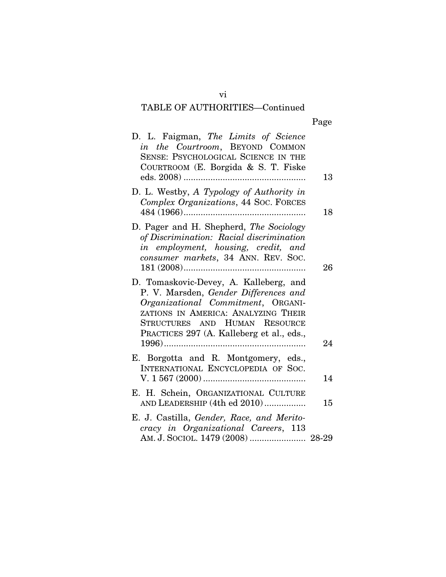| D. L. Faigman, The Limits of Science<br>in the Courtroom, BEYOND COMMON<br>SENSE: PSYCHOLOGICAL SCIENCE IN THE<br>COURTROOM (E. Borgida & S. T. Fiske                                                                                      | 13 |
|--------------------------------------------------------------------------------------------------------------------------------------------------------------------------------------------------------------------------------------------|----|
| D. L. Westby, A Typology of Authority in<br>Complex Organizations, 44 Soc. FORCES                                                                                                                                                          | 18 |
| D. Pager and H. Shepherd, The Sociology<br>of Discrimination: Racial discrimination<br>in employment, housing, credit, and<br>consumer markets, 34 ANN. REV. SOC.                                                                          | 26 |
| D. Tomaskovic-Devey, A. Kalleberg, and<br>P. V. Marsden, Gender Differences and<br>Organizational Commitment, ORGANI-<br>ZATIONS IN AMERICA: ANALYZING THEIR<br>STRUCTURES AND HUMAN RESOURCE<br>PRACTICES 297 (A. Kalleberg et al., eds., | 24 |
| E. Borgotta and R. Montgomery, eds.,<br>INTERNATIONAL ENCYCLOPEDIA OF SOC.                                                                                                                                                                 | 14 |
| E. H. Schein, ORGANIZATIONAL CULTURE<br>AND LEADERSHIP (4th ed 2010)                                                                                                                                                                       | 15 |
| E. J. Castilla, Gender, Race, and Merito-<br>cracy in Organizational Careers, 113<br>AM. J. SOCIOL. 1479 (2008)  28-29                                                                                                                     |    |

vi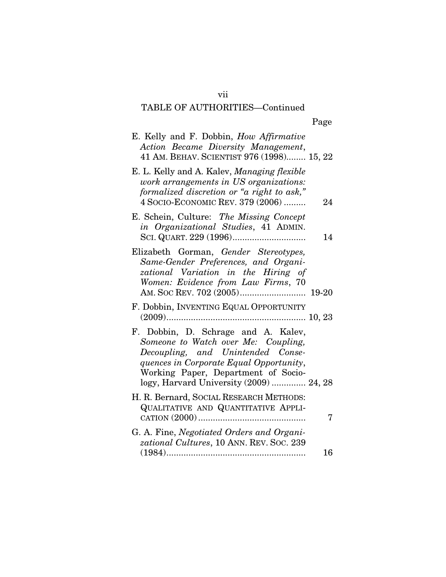| E. Kelly and F. Dobbin, <i>How Affirmative</i><br>Action Became Diversity Management,<br>41 AM. BEHAV. SCIENTIST 976 (1998) 15, 22                                                                                                           |    |
|----------------------------------------------------------------------------------------------------------------------------------------------------------------------------------------------------------------------------------------------|----|
| E. L. Kelly and A. Kalev, Managing flexible<br>work arrangements in US organizations:<br>formalized discretion or "a right to ask,"<br>4 SOCIO-ECONOMIC REV. 379 (2006)                                                                      | 24 |
| E. Schein, Culture: The Missing Concept<br>in Organizational Studies, 41 ADMIN.                                                                                                                                                              | 14 |
| Elizabeth Gorman, Gender Stereotypes,<br>Same-Gender Preferences, and Organi-<br>zational Variation in the Hiring of<br>Women: Evidence from Law Firms, 70                                                                                   |    |
| F. Dobbin, INVENTING EQUAL OPPORTUNITY                                                                                                                                                                                                       |    |
| F. Dobbin, D. Schrage and A. Kalev,<br>Someone to Watch over Me: Coupling,<br>Decoupling, and Unintended Conse-<br>quences in Corporate Equal Opportunity,<br>Working Paper, Department of Socio-<br>logy, Harvard University (2009)  24, 28 |    |
| H. R. Bernard, SOCIAL RESEARCH METHODS:<br>QUALITATIVE AND QUANTITATIVE APPLI-                                                                                                                                                               | 7  |
| G. A. Fine, Negotiated Orders and Organi-<br>zational Cultures, 10 ANN. REV. Soc. 239<br>$(1984)$<br>.                                                                                                                                       | 16 |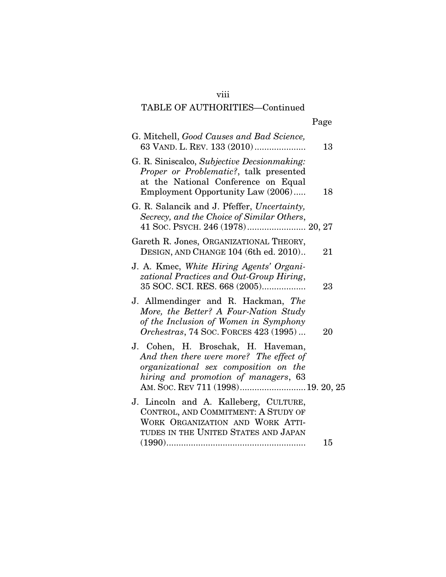### viii

## TABLE OF AUTHORITIES—Continued

|--|

| G. Mitchell, Good Causes and Bad Science,<br>63 VAND. L. REV. 133 (2010)                                                                                          | 13 |
|-------------------------------------------------------------------------------------------------------------------------------------------------------------------|----|
| G. R. Siniscalco, Subjective Decsionmaking:<br>Proper or Problematic?, talk presented<br>at the National Conference on Equal<br>Employment Opportunity Law (2006) | 18 |
| G. R. Salancik and J. Pfeffer, Uncertainty,<br>Secrecy, and the Choice of Similar Others,<br>41 Soc. PSYCH. 246 (1978) 20, 27                                     |    |
| Gareth R. Jones, ORGANIZATIONAL THEORY,<br>DESIGN, AND CHANGE 104 (6th ed. 2010)                                                                                  | 21 |
| J. A. Kmec, White Hiring Agents' Organi-<br>zational Practices and Out-Group Hiring,<br>35 SOC. SCI. RES. 668 (2005)                                              | 23 |
| J. Allmendinger and R. Hackman, The<br>More, the Better? A Four-Nation Study<br>of the Inclusion of Women in Symphony<br>Orchestras, 74 Soc. FORCES 423 (1995)    | 20 |
| J. Cohen, H. Broschak, H. Haveman,<br>And then there were more? The effect of<br>organizational sex composition on the<br>hiring and promotion of managers, 63    |    |
| J. Lincoln and A. Kalleberg, CULTURE,<br>CONTROL, AND COMMITMENT: A STUDY OF<br>WORK ORGANIZATION AND WORK ATTI-<br>TUDES IN THE UNITED STATES AND JAPAN          |    |
|                                                                                                                                                                   | 15 |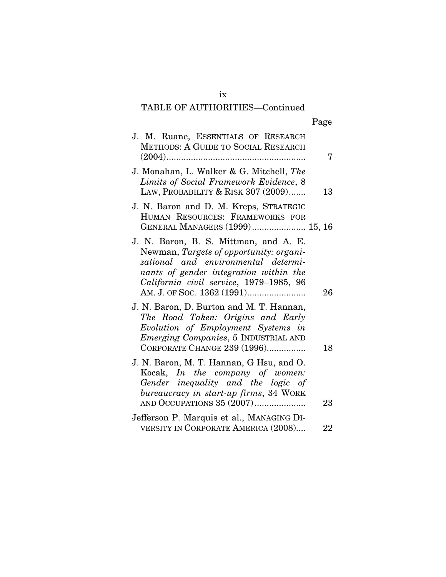# Page

| J. M. Ruane, ESSENTIALS OF RESEARCH<br>METHODS: A GUIDE TO SOCIAL RESEARCH                                                                                                                                   |    |
|--------------------------------------------------------------------------------------------------------------------------------------------------------------------------------------------------------------|----|
| J. Monahan, L. Walker & G. Mitchell, The<br>Limits of Social Framework Evidence, 8<br>LAW, PROBABILITY & RISK 307 (2009)                                                                                     | 13 |
| J. N. Baron and D. M. Kreps, STRATEGIC<br>HUMAN RESOURCES: FRAMEWORKS FOR<br>GENERAL MANAGERS (1999) 15, 16                                                                                                  |    |
| J. N. Baron, B. S. Mittman, and A. E.<br>Newman, Targets of opportunity: organi-<br>zational and environmental determi-<br>nants of gender integration within the<br>California civil service, 1979-1985, 96 | 26 |
| J. N. Baron, D. Burton and M. T. Hannan,<br>The Road Taken: Origins and Early<br>Evolution of Employment Systems in<br><i>Emerging Companies</i> , 5 INDUSTRIAL AND<br>CORPORATE CHANGE 239 (1996)           | 18 |
| J. N. Baron, M. T. Hannan, G Hsu, and O.<br>Kocak, In the company of women:<br>Gender inequality and the logic of<br>bureaucracy in start-up firms, 34 WORK<br>AND OCCUPATIONS 35 (2007)                     | 23 |
| Jefferson P. Marquis et al., MANAGING DI-<br>VERSITY IN CORPORATE AMERICA (2008)                                                                                                                             | 22 |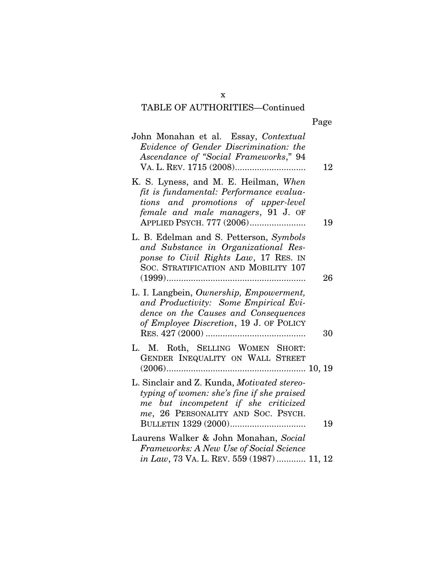Page

| John Monahan et al. Essay, Contextual<br>Evidence of Gender Discrimination: the<br>Ascendance of "Social Frameworks," 94                                                                   | 12 |
|--------------------------------------------------------------------------------------------------------------------------------------------------------------------------------------------|----|
| K. S. Lyness, and M. E. Heilman, When<br>fit is fundamental: Performance evalua-<br>tions and promotions of upper-level<br>female and male managers, 91 J. OF<br>APPLIED PSYCH. 777 (2006) | 19 |
| L. B. Edelman and S. Petterson, Symbols<br>and Substance in Organizational Res-<br>ponse to Civil Rights Law, 17 RES. IN<br>SOC. STRATIFICATION AND MOBILITY 107                           | 26 |
| L. I. Langbein, Ownership, Empowerment,<br>and Productivity: Some Empirical Evi-<br>dence on the Causes and Consequences<br>of Employee Discretion, 19 J. OF POLICY                        | 30 |
| L. M. Roth, SELLING WOMEN SHORT:<br>GENDER INEQUALITY ON WALL STREET                                                                                                                       |    |
| L. Sinclair and Z. Kunda, Motivated stereo-<br>typing of women: she's fine if she praised<br>me but incompetent if she criticized<br>me, 26 PERSONALITY AND SOC. PSYCH.                    | 19 |
| Laurens Walker & John Monahan, Social<br>Frameworks: A New Use of Social Science<br>in Law, 73 VA. L. REV. 559 (1987)  11, 12                                                              |    |
|                                                                                                                                                                                            |    |

x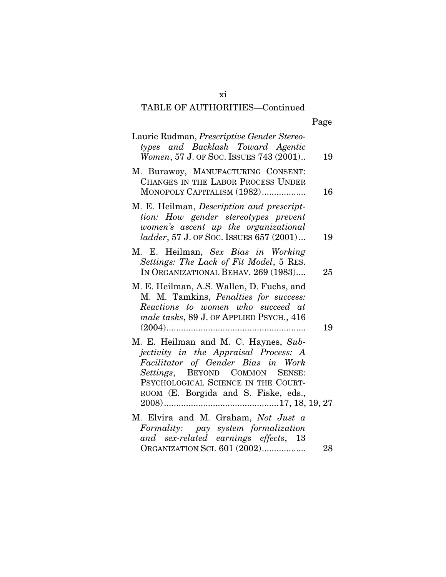|--|--|

| Laurie Rudman, Prescriptive Gender Stereo-<br>types and Backlash Toward Agentic<br>Women, 57 J. OF Soc. ISSUES 743 (2001)                                                                                                            | 19 |
|--------------------------------------------------------------------------------------------------------------------------------------------------------------------------------------------------------------------------------------|----|
| M. Burawoy, MANUFACTURING CONSENT:<br>CHANGES IN THE LABOR PROCESS UNDER<br>MONOPOLY CAPITALISM (1982)                                                                                                                               | 16 |
| M. E. Heilman, Description and prescript-<br>tion: How gender stereotypes prevent<br>women's ascent up the organizational<br>ladder, 57 J. OF Soc. ISSUES 657 (2001)                                                                 | 19 |
| M. E. Heilman, Sex Bias in Working<br>Settings: The Lack of Fit Model, 5 RES.<br>IN ORGANIZATIONAL BEHAV. 269 (1983)                                                                                                                 | 25 |
| M. E. Heilman, A.S. Wallen, D. Fuchs, and<br>M. M. Tamkins, Penalties for success:<br>Reactions to women who succeed at<br>male tasks, 89 J. OF APPLIED PSYCH., 416                                                                  | 19 |
| M. E. Heilman and M. C. Haynes, Sub-<br>jectivity in the Appraisal Process: A<br>Facilitator of Gender Bias in Work<br>Settings, BEYOND COMMON SENSE:<br>PSYCHOLOGICAL SCIENCE IN THE COURT-<br>ROOM (E. Borgida and S. Fiske, eds., |    |
| M. Elvira and M. Graham, Not Just a<br>Formality: pay system formalization<br>and sex-related earnings effects, 13                                                                                                                   |    |
| ORGANIZATION SCI. 601 (2002)                                                                                                                                                                                                         | 28 |

xi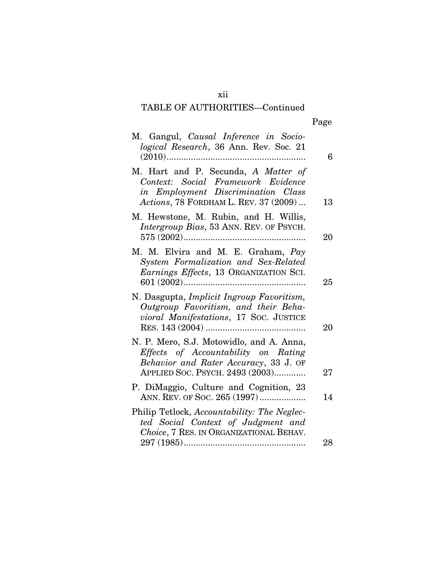| ٠<br>w<br>۰. |
|--------------|
|--------------|

| M. Gangul, Causal Inference in Socio-<br>logical Research, 36 Ann. Rev. Soc. 21<br>$(2010)$<br>.                                                            | 6  |
|-------------------------------------------------------------------------------------------------------------------------------------------------------------|----|
| M. Hart and P. Secunda, A Matter of<br>Context: Social Framework Evidence<br>in Employment Discrimination Class<br>Actions, 78 FORDHAM L. REV. 37 (2009)    | 13 |
| M. Hewstone, M. Rubin, and H. Willis,<br>Intergroup Bias, 53 ANN. REV. OF PSYCH.                                                                            | 20 |
| M. M. Elvira and M. E. Graham, Pay<br>System Formalization and Sex-Related<br>Earnings Effects, 13 ORGANIZATION SCI.                                        | 25 |
| N. Dasgupta, Implicit Ingroup Favoritism,<br>Outgroup Favoritism, and their Beha-<br>vioral Manifestations, 17 Soc. JUSTICE                                 | 20 |
| N. P. Mero, S.J. Motowidlo, and A. Anna,<br>Effects of Accountability on Rating<br>Behavior and Rater Accuracy, 33 J. OF<br>APPLIED SOC. PSYCH. 2493 (2003) | 27 |
| P. DiMaggio, Culture and Cognition, 23<br>ANN. REV. OF SOC. 265 (1997)                                                                                      | 14 |
| Philip Tetlock, Accountability: The Neglec-<br>ted Social Context of Judgment and<br>Choice, 7 RES. IN ORGANIZATIONAL BEHAV.                                |    |
|                                                                                                                                                             | 28 |

xii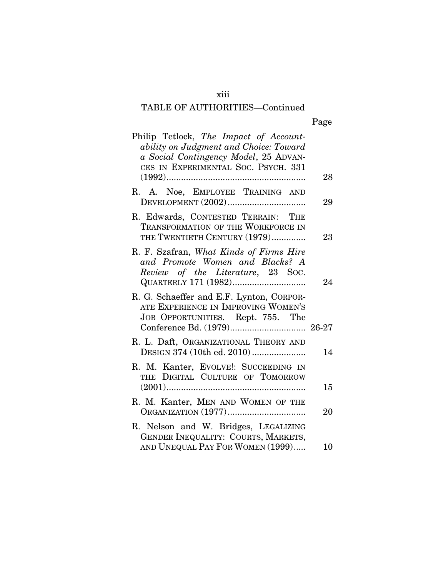## xiii

# TABLE OF AUTHORITIES—Continued

|--|--|

| Philip Tetlock, The Impact of Account-<br>ability on Judgment and Choice: Toward<br>a Social Contingency Model, 25 ADVAN-<br>CES IN EXPERIMENTAL SOC. PSYCH. 331 |    |
|------------------------------------------------------------------------------------------------------------------------------------------------------------------|----|
|                                                                                                                                                                  | 28 |
| R. A. Noe, EMPLOYEE TRAINING AND                                                                                                                                 | 29 |
| R. Edwards, CONTESTED TERRAIN: THE<br>TRANSFORMATION OF THE WORKFORCE IN<br>THE TWENTIETH CENTURY (1979)                                                         | 23 |
| R. F. Szafran, What Kinds of Firms Hire<br>and Promote Women and Blacks? A<br>Review of the Literature, 23 Soc.                                                  | 24 |
| R. G. Schaeffer and E.F. Lynton, CORPOR-<br>ATE EXPERIENCE IN IMPROVING WOMEN'S<br>JOB OPPORTUNITIES. Rept. 755. The                                             |    |
| R. L. Daft, ORGANIZATIONAL THEORY AND<br>DESIGN 374 (10th ed. 2010)                                                                                              | 14 |
| R. M. Kanter, EVOLVE!: SUCCEEDING IN<br>DIGITAL CULTURE OF TOMORROW<br>THE                                                                                       | 15 |
| R. M. Kanter, MEN AND WOMEN OF THE                                                                                                                               | 20 |
| R. Nelson and W. Bridges, LEGALIZING<br>GENDER INEQUALITY: COURTS, MARKETS,<br>AND UNEQUAL PAY FOR WOMEN (1999)                                                  | 10 |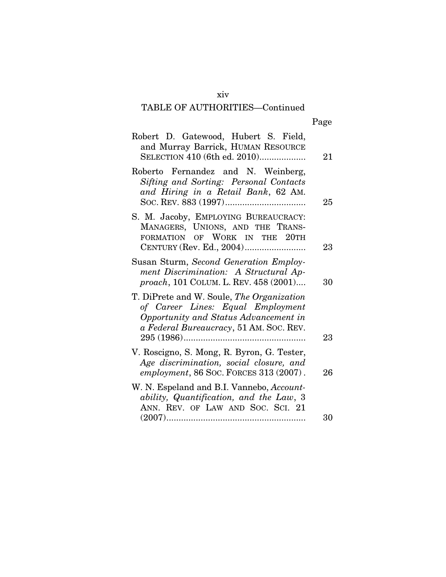## xiv

# TABLE OF AUTHORITIES—Continued

|--|

| Robert D. Gatewood, Hubert S. Field,<br>and Murray Barrick, HUMAN RESOURCE<br>SELECTION 410 (6th ed. 2010)                                                         | 21 |
|--------------------------------------------------------------------------------------------------------------------------------------------------------------------|----|
| Roberto Fernandez and N. Weinberg,<br>Sifting and Sorting: Personal Contacts<br>and Hiring in a Retail Bank, 62 AM.                                                | 25 |
| S. M. Jacoby, EMPLOYING BUREAUCRACY:<br>MANAGERS, UNIONS, AND THE TRANS-<br>FORMATION OF WORK IN THE 20TH                                                          | 23 |
| Susan Sturm, Second Generation Employ-<br>ment Discrimination: A Structural Ap-<br>proach, 101 COLUM. L. REV. 458 (2001)                                           | 30 |
| T. DiPrete and W. Soule, The Organization<br>of Career Lines: Equal Employment<br>Opportunity and Status Advancement in<br>a Federal Bureaucracy, 51 AM. SOC. REV. | 23 |
| V. Roscigno, S. Mong, R. Byron, G. Tester,<br>Age discrimination, social closure, and<br>employment, 86 Soc. FORCES 313 (2007).                                    | 26 |
| W. N. Espeland and B.I. Vannebo, Account-<br>ability, Quantification, and the Law, 3<br>ANN. REV. OF LAW AND SOC. SCI. 21                                          | 30 |
|                                                                                                                                                                    |    |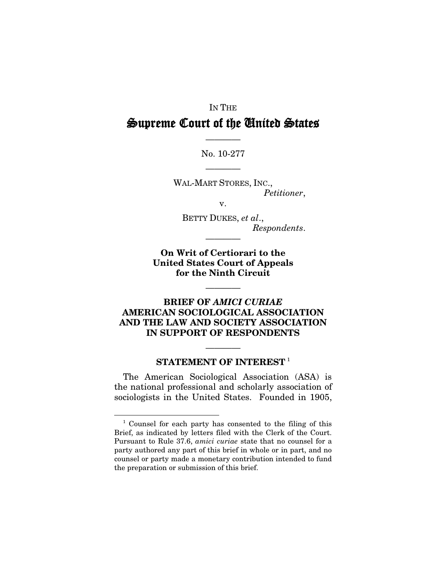# IN THE Supreme Court of the United States

No. 10-277 ————

————

WAL-MART STORES, INC., *Petitioner*,

v.

BETTY DUKES, *et al*., *Respondents*.

**On Writ of Certiorari to the United States Court of Appeals for the Ninth Circuit**

————

————

### **BRIEF OF** *AMICI CURIAE* **AMERICAN SOCIOLOGICAL ASSOCIATION AND THE LAW AND SOCIETY ASSOCIATION IN SUPPORT OF RESPONDENTS**

### ———— **STATEMENT OF INTEREST** [1](#page-15-0)

The American Sociological Association (ASA) is the national professional and scholarly association of sociologists in the United States. Founded in 1905,

<span id="page-15-0"></span><sup>&</sup>lt;sup>1</sup> Counsel for each party has consented to the filing of this Brief, as indicated by letters filed with the Clerk of the Court. Pursuant to Rule 37.6, *amici curiae* state that no counsel for a party authored any part of this brief in whole or in part, and no counsel or party made a monetary contribution intended to fund the preparation or submission of this brief.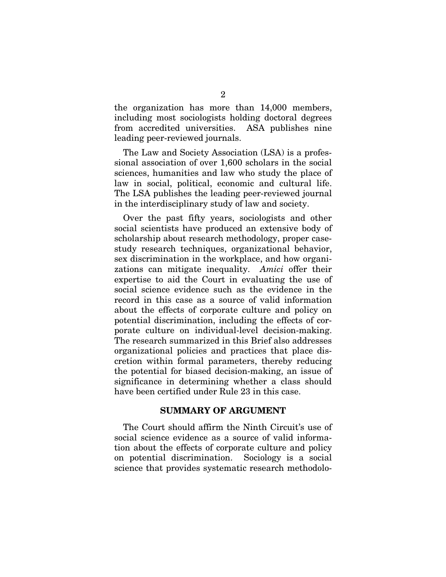the organization has more than 14,000 members, including most sociologists holding doctoral degrees from accredited universities. ASA publishes nine leading peer-reviewed journals.

The Law and Society Association (LSA) is a professional association of over 1,600 scholars in the social sciences, humanities and law who study the place of law in social, political, economic and cultural life. The LSA publishes the leading peer-reviewed journal in the interdisciplinary study of law and society.

Over the past fifty years, sociologists and other social scientists have produced an extensive body of scholarship about research methodology, proper casestudy research techniques, organizational behavior, sex discrimination in the workplace, and how organizations can mitigate inequality. *Amici* offer their expertise to aid the Court in evaluating the use of social science evidence such as the evidence in the record in this case as a source of valid information about the effects of corporate culture and policy on potential discrimination, including the effects of corporate culture on individual-level decision-making. The research summarized in this Brief also addresses organizational policies and practices that place discretion within formal parameters, thereby reducing the potential for biased decision-making, an issue of significance in determining whether a class should have been certified under Rule 23 in this case.

#### **SUMMARY OF ARGUMENT**

The Court should affirm the Ninth Circuit's use of social science evidence as a source of valid information about the effects of corporate culture and policy on potential discrimination. Sociology is a social science that provides systematic research methodolo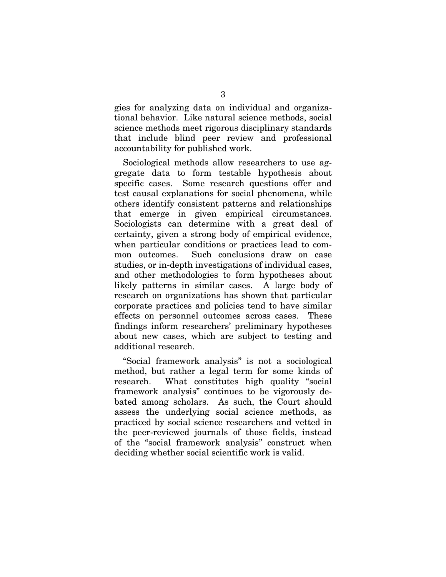gies for analyzing data on individual and organizational behavior. Like natural science methods, social science methods meet rigorous disciplinary standards that include blind peer review and professional accountability for published work.

Sociological methods allow researchers to use aggregate data to form testable hypothesis about specific cases. Some research questions offer and test causal explanations for social phenomena, while others identify consistent patterns and relationships that emerge in given empirical circumstances. Sociologists can determine with a great deal of certainty, given a strong body of empirical evidence, when particular conditions or practices lead to common outcomes. Such conclusions draw on case studies, or in-depth investigations of individual cases, and other methodologies to form hypotheses about likely patterns in similar cases. A large body of research on organizations has shown that particular corporate practices and policies tend to have similar effects on personnel outcomes across cases. These findings inform researchers' preliminary hypotheses about new cases, which are subject to testing and additional research.

"Social framework analysis" is not a sociological method, but rather a legal term for some kinds of research. What constitutes high quality "social framework analysis" continues to be vigorously debated among scholars. As such, the Court should assess the underlying social science methods, as practiced by social science researchers and vetted in the peer-reviewed journals of those fields, instead of the "social framework analysis" construct when deciding whether social scientific work is valid.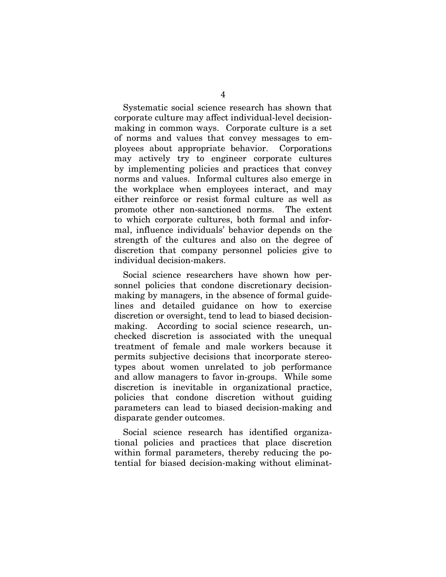Systematic social science research has shown that corporate culture may affect individual-level decisionmaking in common ways. Corporate culture is a set of norms and values that convey messages to employees about appropriate behavior. Corporations may actively try to engineer corporate cultures by implementing policies and practices that convey norms and values. Informal cultures also emerge in the workplace when employees interact, and may either reinforce or resist formal culture as well as promote other non-sanctioned norms. The extent to which corporate cultures, both formal and informal, influence individuals' behavior depends on the strength of the cultures and also on the degree of discretion that company personnel policies give to individual decision-makers.

Social science researchers have shown how personnel policies that condone discretionary decisionmaking by managers, in the absence of formal guidelines and detailed guidance on how to exercise discretion or oversight, tend to lead to biased decisionmaking. According to social science research, unchecked discretion is associated with the unequal treatment of female and male workers because it permits subjective decisions that incorporate stereotypes about women unrelated to job performance and allow managers to favor in-groups. While some discretion is inevitable in organizational practice, policies that condone discretion without guiding parameters can lead to biased decision-making and disparate gender outcomes.

Social science research has identified organizational policies and practices that place discretion within formal parameters, thereby reducing the potential for biased decision-making without eliminat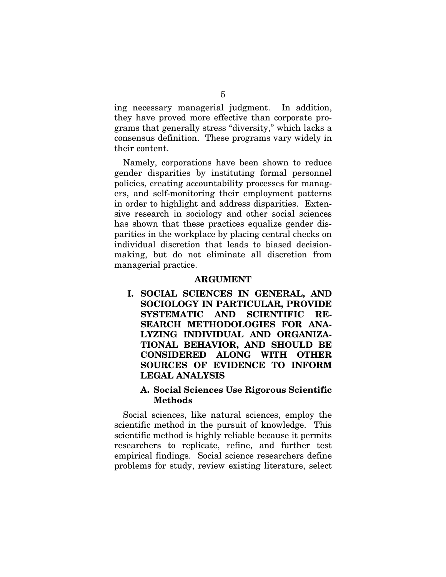ing necessary managerial judgment. In addition, they have proved more effective than corporate programs that generally stress "diversity," which lacks a consensus definition. These programs vary widely in their content.

Namely, corporations have been shown to reduce gender disparities by instituting formal personnel policies, creating accountability processes for managers, and self-monitoring their employment patterns in order to highlight and address disparities. Extensive research in sociology and other social sciences has shown that these practices equalize gender disparities in the workplace by placing central checks on individual discretion that leads to biased decisionmaking, but do not eliminate all discretion from managerial practice.

#### **ARGUMENT**

**I. SOCIAL SCIENCES IN GENERAL, AND SOCIOLOGY IN PARTICULAR, PROVIDE SYSTEMATIC AND SCIENTIFIC RE-SEARCH METHODOLOGIES FOR ANA-LYZING INDIVIDUAL AND ORGANIZA-TIONAL BEHAVIOR, AND SHOULD BE CONSIDERED ALONG WITH OTHER SOURCES OF EVIDENCE TO INFORM LEGAL ANALYSIS**

#### **A. Social Sciences Use Rigorous Scientific Methods**

Social sciences, like natural sciences, employ the scientific method in the pursuit of knowledge. This scientific method is highly reliable because it permits researchers to replicate, refine, and further test empirical findings. Social science researchers define problems for study, review existing literature, select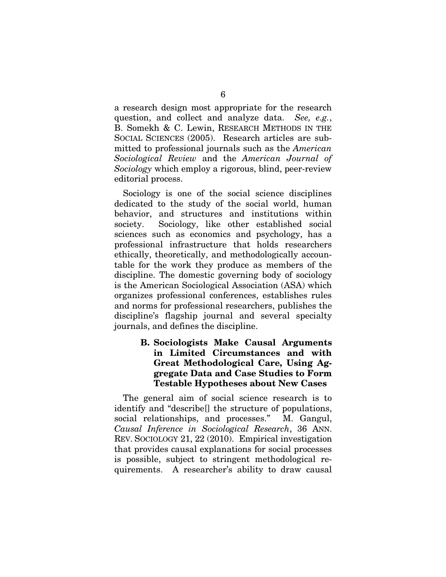a research design most appropriate for the research question, and collect and analyze data. *See, e.g.*, B. Somekh & C. Lewin, RESEARCH METHODS IN THE SOCIAL SCIENCES (2005). Research articles are submitted to professional journals such as the *American Sociological Review* and the *American Journal of Sociology* which employ a rigorous, blind, peer-review editorial process.

Sociology is one of the social science disciplines dedicated to the study of the social world, human behavior, and structures and institutions within society. Sociology, like other established social sciences such as economics and psychology, has a professional infrastructure that holds researchers ethically, theoretically, and methodologically accountable for the work they produce as members of the discipline. The domestic governing body of sociology is the American Sociological Association (ASA) which organizes professional conferences, establishes rules and norms for professional researchers, publishes the discipline's flagship journal and several specialty journals, and defines the discipline.

#### **B. Sociologists Make Causal Arguments in Limited Circumstances and with Great Methodological Care, Using Aggregate Data and Case Studies to Form Testable Hypotheses about New Cases**

The general aim of social science research is to identify and "describe[] the structure of populations, social relationships, and processes." M. Gangul, *Causal Inference in Sociological Research*, 36 ANN. REV. SOCIOLOGY 21, 22 (2010). Empirical investigation that provides causal explanations for social processes is possible, subject to stringent methodological requirements. A researcher's ability to draw causal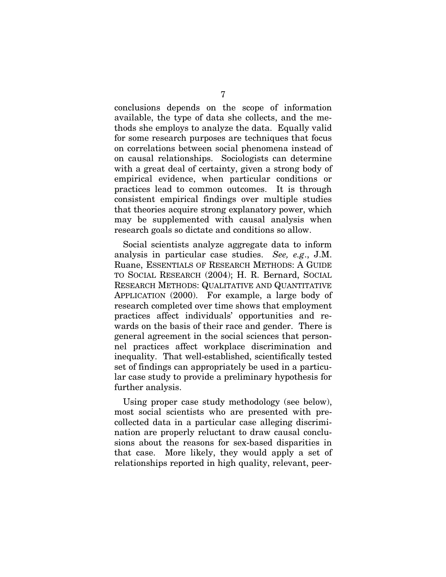conclusions depends on the scope of information available, the type of data she collects, and the methods she employs to analyze the data. Equally valid for some research purposes are techniques that focus on correlations between social phenomena instead of on causal relationships. Sociologists can determine with a great deal of certainty, given a strong body of empirical evidence, when particular conditions or practices lead to common outcomes. It is through consistent empirical findings over multiple studies that theories acquire strong explanatory power, which may be supplemented with causal analysis when research goals so dictate and conditions so allow.

Social scientists analyze aggregate data to inform analysis in particular case studies. *See, e.g*., J.M. Ruane, ESSENTIALS OF RESEARCH METHODS: A GUIDE TO SOCIAL RESEARCH (2004); H. R. Bernard, SOCIAL RESEARCH METHODS: QUALITATIVE AND QUANTITATIVE APPLICATION (2000). For example, a large body of research completed over time shows that employment practices affect individuals' opportunities and rewards on the basis of their race and gender. There is general agreement in the social sciences that personnel practices affect workplace discrimination and inequality. That well-established, scientifically tested set of findings can appropriately be used in a particular case study to provide a preliminary hypothesis for further analysis.

Using proper case study methodology (see below), most social scientists who are presented with precollected data in a particular case alleging discrimination are properly reluctant to draw causal conclusions about the reasons for sex-based disparities in that case. More likely, they would apply a set of relationships reported in high quality, relevant, peer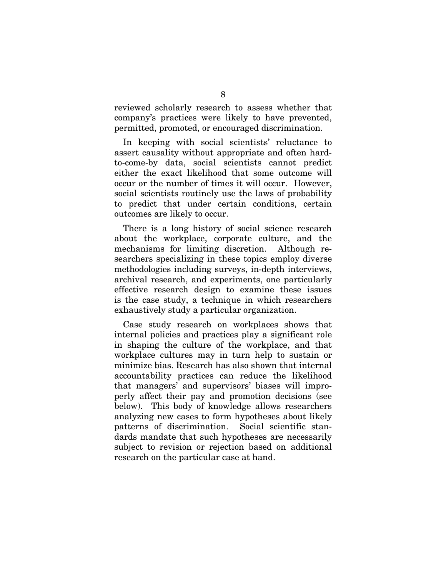reviewed scholarly research to assess whether that company's practices were likely to have prevented, permitted, promoted, or encouraged discrimination.

In keeping with social scientists' reluctance to assert causality without appropriate and often hardto-come-by data, social scientists cannot predict either the exact likelihood that some outcome will occur or the number of times it will occur. However, social scientists routinely use the laws of probability to predict that under certain conditions, certain outcomes are likely to occur.

There is a long history of social science research about the workplace, corporate culture, and the mechanisms for limiting discretion. Although researchers specializing in these topics employ diverse methodologies including surveys, in-depth interviews, archival research, and experiments, one particularly effective research design to examine these issues is the case study, a technique in which researchers exhaustively study a particular organization.

Case study research on workplaces shows that internal policies and practices play a significant role in shaping the culture of the workplace, and that workplace cultures may in turn help to sustain or minimize bias. Research has also shown that internal accountability practices can reduce the likelihood that managers' and supervisors' biases will improperly affect their pay and promotion decisions (see below). This body of knowledge allows researchers analyzing new cases to form hypotheses about likely patterns of discrimination. Social scientific standards mandate that such hypotheses are necessarily subject to revision or rejection based on additional research on the particular case at hand.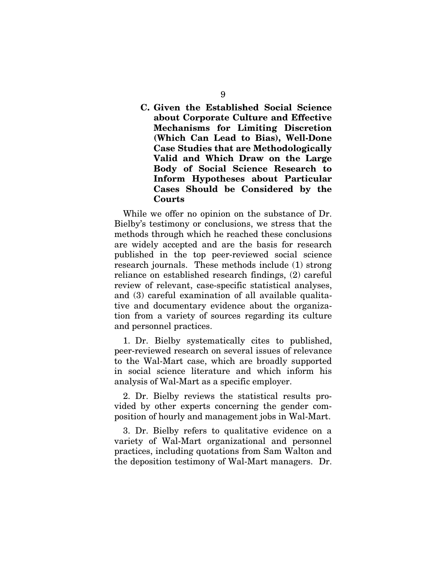**C. Given the Established Social Science about Corporate Culture and Effective Mechanisms for Limiting Discretion (Which Can Lead to Bias), Well-Done Case Studies that are Methodologically Valid and Which Draw on the Large Body of Social Science Research to Inform Hypotheses about Particular Cases Should be Considered by the Courts**

While we offer no opinion on the substance of Dr. Bielby's testimony or conclusions, we stress that the methods through which he reached these conclusions are widely accepted and are the basis for research published in the top peer-reviewed social science research journals. These methods include (1) strong reliance on established research findings, (2) careful review of relevant, case-specific statistical analyses, and (3) careful examination of all available qualitative and documentary evidence about the organization from a variety of sources regarding its culture and personnel practices.

1. Dr. Bielby systematically cites to published, peer-reviewed research on several issues of relevance to the Wal-Mart case, which are broadly supported in social science literature and which inform his analysis of Wal-Mart as a specific employer.

2. Dr. Bielby reviews the statistical results provided by other experts concerning the gender composition of hourly and management jobs in Wal-Mart.

3. Dr. Bielby refers to qualitative evidence on a variety of Wal-Mart organizational and personnel practices, including quotations from Sam Walton and the deposition testimony of Wal-Mart managers. Dr.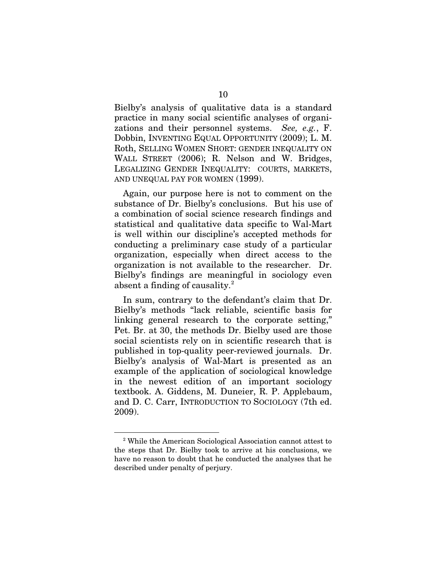Bielby's analysis of qualitative data is a standard practice in many social scientific analyses of organizations and their personnel systems. *See, e.g.*, F. Dobbin, INVENTING EQUAL OPPORTUNITY (2009); L. M. Roth, SELLING WOMEN SHORT: GENDER INEQUALITY ON WALL STREET (2006); R. Nelson and W. Bridges, LEGALIZING GENDER INEQUALITY: COURTS, MARKETS, AND UNEQUAL PAY FOR WOMEN (1999).

Again, our purpose here is not to comment on the substance of Dr. Bielby's conclusions. But his use of a combination of social science research findings and statistical and qualitative data specific to Wal-Mart is well within our discipline's accepted methods for conducting a preliminary case study of a particular organization, especially when direct access to the organization is not available to the researcher. Dr. Bielby's findings are meaningful in sociology even absent a finding of causality. $^{2}$  $^{2}$  $^{2}$ 

In sum, contrary to the defendant's claim that Dr. Bielby's methods "lack reliable, scientific basis for linking general research to the corporate setting," Pet. Br. at 30, the methods Dr. Bielby used are those social scientists rely on in scientific research that is published in top-quality peer-reviewed journals. Dr. Bielby's analysis of Wal-Mart is presented as an example of the application of sociological knowledge in the newest edition of an important sociology textbook. A. Giddens, M. Duneier, R. P. Applebaum, and D. C. Carr, INTRODUCTION TO SOCIOLOGY (7th ed. 2009).

<span id="page-24-0"></span><sup>2</sup> While the American Sociological Association cannot attest to the steps that Dr. Bielby took to arrive at his conclusions, we have no reason to doubt that he conducted the analyses that he described under penalty of perjury.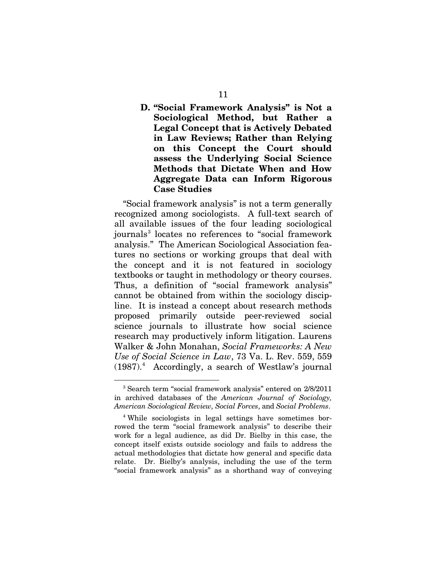### **D. "Social Framework Analysis" is Not a Sociological Method, but Rather a Legal Concept that is Actively Debated in Law Reviews; Rather than Relying on this Concept the Court should assess the Underlying Social Science Methods that Dictate When and How Aggregate Data can Inform Rigorous Case Studies**

"Social framework analysis" is not a term generally recognized among sociologists. A full-text search of all available issues of the four leading sociological journals<sup>[3](#page-25-0)</sup> locates no references to "social framework analysis." The American Sociological Association features no sections or working groups that deal with the concept and it is not featured in sociology textbooks or taught in methodology or theory courses. Thus, a definition of "social framework analysis" cannot be obtained from within the sociology discipline. It is instead a concept about research methods proposed primarily outside peer-reviewed social science journals to illustrate how social science research may productively inform litigation. Laurens Walker & John Monahan, *Social Frameworks: A New Use of Social Science in Law*, 73 Va. L. Rev. 559, 559 (1987)[.4](#page-25-1) Accordingly, a search of Westlaw's journal

<span id="page-25-0"></span><sup>3</sup> Search term "social framework analysis" entered on 2/8/2011 in archived databases of the *American Journal of Sociology, American Sociological Review, Social Forces*, and *Social Problems*.

<span id="page-25-1"></span><sup>4</sup> While sociologists in legal settings have sometimes borrowed the term "social framework analysis" to describe their work for a legal audience, as did Dr. Bielby in this case, the concept itself exists outside sociology and fails to address the actual methodologies that dictate how general and specific data relate. Dr. Bielby's analysis, including the use of the term "social framework analysis" as a shorthand way of conveying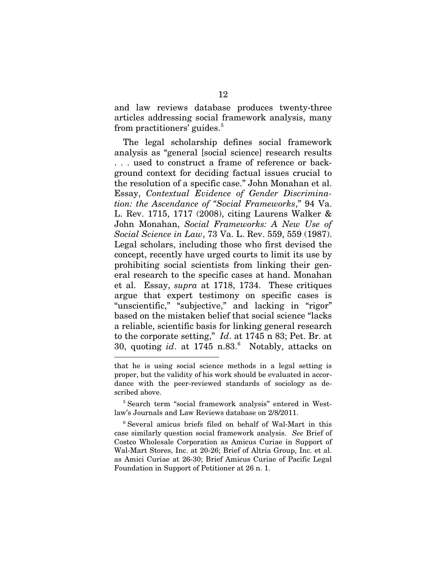and law reviews database produces twenty-three articles addressing social framework analysis, many from practitioners' guides.<sup>[5](#page-26-0)</sup>

The legal scholarship defines social framework analysis as "general [social science] research results . . . used to construct a frame of reference or background context for deciding factual issues crucial to the resolution of a specific case." John Monahan et al. Essay, *Contextual Evidence of Gender Discrimination: the Ascendance of "Social Frameworks*," 94 Va. L. Rev. 1715, 1717 (2008), citing Laurens Walker & John Monahan, *Social Frameworks: A New Use of Social Science in Law*, 73 Va. L. Rev. 559, 559 (1987). Legal scholars, including those who first devised the concept, recently have urged courts to limit its use by prohibiting social scientists from linking their general research to the specific cases at hand. Monahan et al. Essay, *supra* at 1718, 1734. These critiques argue that expert testimony on specific cases is "unscientific," "subjective," and lacking in "rigor" based on the mistaken belief that social science "lacks a reliable, scientific basis for linking general research to the corporate setting," *Id*. at 1745 n 83; Pet. Br. at 30, quoting *id*. at 1745 n.83. [6](#page-26-1) Notably, attacks on

that he is using social science methods in a legal setting is proper, but the validity of his work should be evaluated in accordance with the peer-reviewed standards of sociology as described above.

<span id="page-26-0"></span><sup>5</sup> Search term "social framework analysis" entered in Westlaw's Journals and Law Reviews database on 2/8/2011.

<span id="page-26-1"></span><sup>6</sup> Several amicus briefs filed on behalf of Wal-Mart in this case similarly question social framework analysis. *See* Brief of Costco Wholesale Corporation as Amicus Curiae in Support of Wal-Mart Stores, Inc. at 20-26; Brief of Altria Group, Inc. et al. as Amici Curiae at 26-30; Brief Amicus Curiae of Pacific Legal Foundation in Support of Petitioner at 26 n. 1.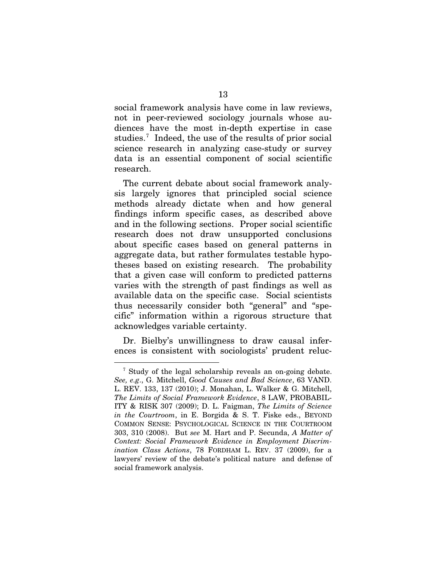social framework analysis have come in law reviews, not in peer-reviewed sociology journals whose audiences have the most in-depth expertise in case studies.<sup>[7](#page-27-0)</sup> Indeed, the use of the results of prior social science research in analyzing case-study or survey data is an essential component of social scientific research.

The current debate about social framework analysis largely ignores that principled social science methods already dictate when and how general findings inform specific cases, as described above and in the following sections. Proper social scientific research does not draw unsupported conclusions about specific cases based on general patterns in aggregate data, but rather formulates testable hypotheses based on existing research. The probability that a given case will conform to predicted patterns varies with the strength of past findings as well as available data on the specific case. Social scientists thus necessarily consider both "general" and "specific" information within a rigorous structure that acknowledges variable certainty.

Dr. Bielby's unwillingness to draw causal inferences is consistent with sociologists' prudent reluc-

<span id="page-27-0"></span><sup>&</sup>lt;sup>7</sup> Study of the legal scholarship reveals an on-going debate. *See, e.g*., G. Mitchell, *Good Causes and Bad Science*, 63 VAND. L. REV. 133, 137 (2010); J. Monahan, L. Walker & G. Mitchell, *The Limits of Social Framework Evidence*, 8 LAW, PROBABIL-ITY & RISK 307 (2009); D. L. Faigman, *The Limits of Science in the Courtroom*, in E. Borgida & S. T. Fiske eds., BEYOND COMMON SENSE: PSYCHOLOGICAL SCIENCE IN THE COURTROOM 303, 310 (2008). But *see* M. Hart and P. Secunda, *A Matter of Context: Social Framework Evidence in Employment Discrimination Class Actions*, 78 FORDHAM L. REV. 37 (2009), for a lawyers' review of the debate's political nature and defense of social framework analysis.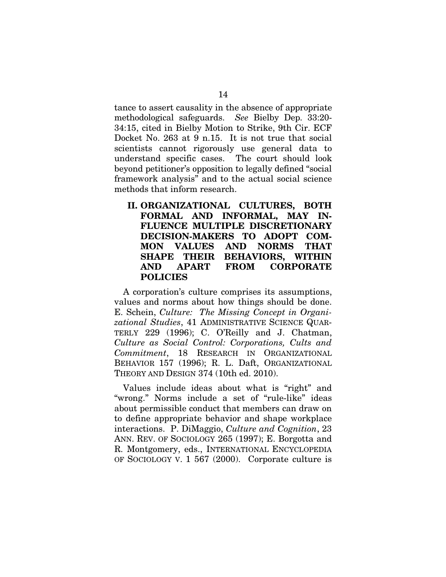tance to assert causality in the absence of appropriate methodological safeguards. *See* Bielby Dep. 33:20- 34:15, cited in Bielby Motion to Strike, 9th Cir. ECF Docket No. 263 at 9 n.15. It is not true that social scientists cannot rigorously use general data to understand specific cases. The court should look beyond petitioner's opposition to legally defined "social framework analysis" and to the actual social science methods that inform research.

**II. ORGANIZATIONAL CULTURES, BOTH FORMAL AND INFORMAL, MAY IN-FLUENCE MULTIPLE DISCRETIONARY DECISION-MAKERS TO ADOPT COM-MON VALUES AND NORMS THAT SHAPE THEIR BEHAVIORS, WITHIN AND APART FROM CORPORATE POLICIES**

A corporation's culture comprises its assumptions, values and norms about how things should be done. E. Schein, *Culture: The Missing Concept in Organizational Studies*, 41 ADMINISTRATIVE SCIENCE QUAR-TERLY 229 (1996); C. O'Reilly and J. Chatman, *Culture as Social Control: Corporations, Cults and Commitment*, 18 RESEARCH IN ORGANIZATIONAL BEHAVIOR 157 (1996); R. L. Daft, ORGANIZATIONAL THEORY AND DESIGN 374 (10th ed. 2010).

Values include ideas about what is "right" and "wrong." Norms include a set of "rule-like" ideas about permissible conduct that members can draw on to define appropriate behavior and shape workplace interactions. P. DiMaggio, *Culture and Cognition*, 23 ANN. REV. OF SOCIOLOGY 265 (1997); E. Borgotta and R. Montgomery, eds., INTERNATIONAL ENCYCLOPEDIA OF SOCIOLOGY V. 1 567 (2000). Corporate culture is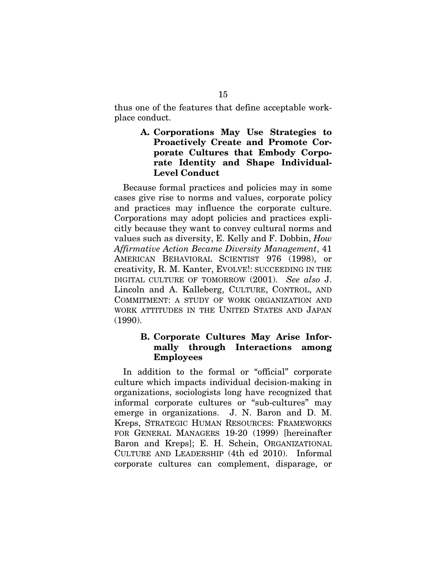thus one of the features that define acceptable workplace conduct.

> **A. Corporations May Use Strategies to Proactively Create and Promote Corporate Cultures that Embody Corporate Identity and Shape Individual-Level Conduct**

Because formal practices and policies may in some cases give rise to norms and values, corporate policy and practices may influence the corporate culture. Corporations may adopt policies and practices explicitly because they want to convey cultural norms and values such as diversity, E. Kelly and F. Dobbin, *How Affirmative Action Became Diversity Management*, 41 AMERICAN BEHAVIORAL SCIENTIST 976 (1998), or creativity, R. M. Kanter, EVOLVE!: SUCCEEDING IN THE DIGITAL CULTURE OF TOMORROW (2001). *See also* J. Lincoln and A. Kalleberg, CULTURE, CONTROL, AND COMMITMENT: A STUDY OF WORK ORGANIZATION AND WORK ATTITUDES IN THE UNITED STATES AND JAPAN (1990).

#### **B. Corporate Cultures May Arise Informally through Interactions among Employees**

In addition to the formal or "official" corporate culture which impacts individual decision-making in organizations, sociologists long have recognized that informal corporate cultures or "sub-cultures" may emerge in organizations. J. N. Baron and D. M. Kreps, STRATEGIC HUMAN RESOURCES: FRAMEWORKS FOR GENERAL MANAGERS 19-20 (1999) [hereinafter Baron and Kreps]; E. H. Schein, ORGANIZATIONAL CULTURE AND LEADERSHIP (4th ed 2010). Informal corporate cultures can complement, disparage, or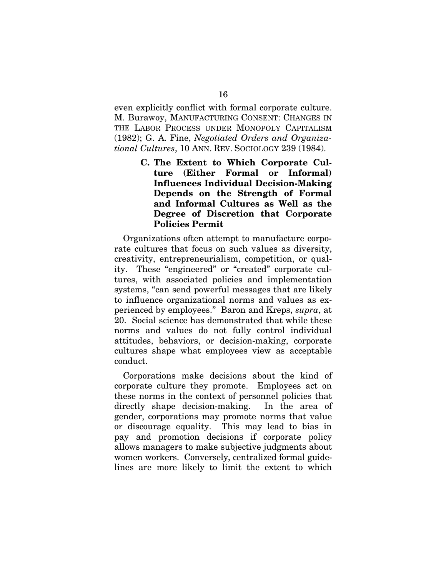even explicitly conflict with formal corporate culture. M. Burawoy, MANUFACTURING CONSENT: CHANGES IN THE LABOR PROCESS UNDER MONOPOLY CAPITALISM (1982); G. A. Fine, *Negotiated Orders and Organizational Cultures*, 10 ANN. REV. SOCIOLOGY 239 (1984).

> **C. The Extent to Which Corporate Culture (Either Formal or Informal) Influences Individual Decision-Making Depends on the Strength of Formal and Informal Cultures as Well as the Degree of Discretion that Corporate Policies Permit**

Organizations often attempt to manufacture corporate cultures that focus on such values as diversity, creativity, entrepreneurialism, competition, or quality. These "engineered" or "created" corporate cultures, with associated policies and implementation systems, "can send powerful messages that are likely to influence organizational norms and values as experienced by employees." Baron and Kreps, *supra*, at 20. Social science has demonstrated that while these norms and values do not fully control individual attitudes, behaviors, or decision-making, corporate cultures shape what employees view as acceptable conduct.

Corporations make decisions about the kind of corporate culture they promote. Employees act on these norms in the context of personnel policies that directly shape decision-making. In the area of gender, corporations may promote norms that value or discourage equality. This may lead to bias in pay and promotion decisions if corporate policy allows managers to make subjective judgments about women workers. Conversely, centralized formal guidelines are more likely to limit the extent to which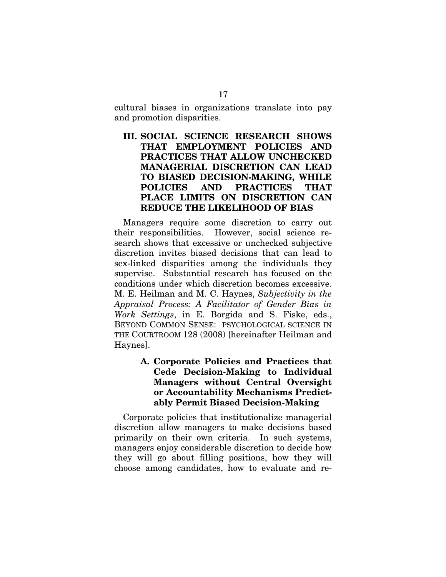cultural biases in organizations translate into pay and promotion disparities.

### **III. SOCIAL SCIENCE RESEARCH SHOWS THAT EMPLOYMENT POLICIES AND PRACTICES THAT ALLOW UNCHECKED MANAGERIAL DISCRETION CAN LEAD TO BIASED DECISION-MAKING, WHILE POLICIES AND PRACTICES THAT PLACE LIMITS ON DISCRETION CAN REDUCE THE LIKELIHOOD OF BIAS**

Managers require some discretion to carry out their responsibilities. However, social science research shows that excessive or unchecked subjective discretion invites biased decisions that can lead to sex-linked disparities among the individuals they supervise. Substantial research has focused on the conditions under which discretion becomes excessive. M. E. Heilman and M. C. Haynes, *Subjectivity in the Appraisal Process: A Facilitator of Gender Bias in Work Settings*, in E. Borgida and S. Fiske, eds., BEYOND COMMON SENSE: PSYCHOLOGICAL SCIENCE IN THE COURTROOM 128 (2008) [hereinafter Heilman and Haynes].

### **A. Corporate Policies and Practices that Cede Decision-Making to Individual Managers without Central Oversight or Accountability Mechanisms Predictably Permit Biased Decision-Making**

Corporate policies that institutionalize managerial discretion allow managers to make decisions based primarily on their own criteria. In such systems, managers enjoy considerable discretion to decide how they will go about filling positions, how they will choose among candidates, how to evaluate and re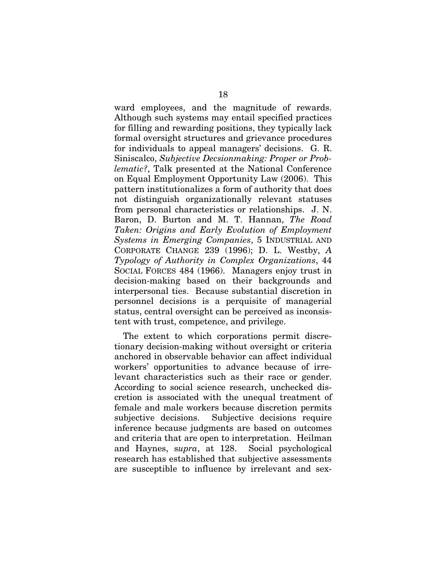ward employees, and the magnitude of rewards. Although such systems may entail specified practices for filling and rewarding positions, they typically lack formal oversight structures and grievance procedures for individuals to appeal managers' decisions. G. R. Siniscalco, *Subjective Decsionmaking: Proper or Problematic?*, Talk presented at the National Conference on Equal Employment Opportunity Law (2006). This pattern institutionalizes a form of authority that does not distinguish organizationally relevant statuses from personal characteristics or relationships. J. N. Baron, D. Burton and M. T. Hannan, *The Road Taken: Origins and Early Evolution of Employment Systems in Emerging Companies*, 5 INDUSTRIAL AND CORPORATE CHANGE 239 (1996); D. L. Westby, *A Typology of Authority in Complex Organizations*, 44 SOCIAL FORCES 484 (1966). Managers enjoy trust in decision-making based on their backgrounds and interpersonal ties. Because substantial discretion in personnel decisions is a perquisite of managerial status, central oversight can be perceived as inconsistent with trust, competence, and privilege.

The extent to which corporations permit discretionary decision-making without oversight or criteria anchored in observable behavior can affect individual workers' opportunities to advance because of irrelevant characteristics such as their race or gender. According to social science research, unchecked discretion is associated with the unequal treatment of female and male workers because discretion permits subjective decisions. Subjective decisions require inference because judgments are based on outcomes and criteria that are open to interpretation. Heilman and Haynes, s*upra*, at 128. Social psychological research has established that subjective assessments are susceptible to influence by irrelevant and sex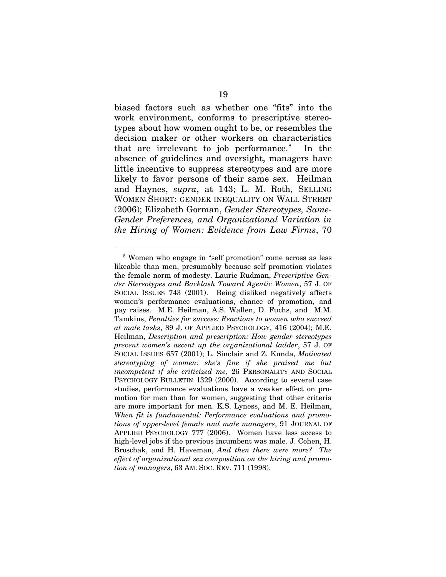biased factors such as whether one "fits" into the work environment, conforms to prescriptive stereotypes about how women ought to be, or resembles the decision maker or other workers on characteristics that are irrelevant to job performance.<sup>[8](#page-33-0)</sup> In the absence of guidelines and oversight, managers have little incentive to suppress stereotypes and are more likely to favor persons of their same sex. Heilman and Haynes, *supra*, at 143; L. M. Roth, SELLING WOMEN SHORT: GENDER INEQUALITY ON WALL STREET (2006); Elizabeth Gorman, *Gender Stereotypes, Same-Gender Preferences, and Organizational Variation in the Hiring of Women: Evidence from Law Firms*, 70

<span id="page-33-0"></span><sup>&</sup>lt;u>.</u> <sup>8</sup> Women who engage in "self promotion" come across as less likeable than men, presumably because self promotion violates the female norm of modesty. Laurie Rudman, *Prescriptive Gender Stereotypes and Backlash Toward Agentic Women*, 57 J. OF SOCIAL ISSUES 743 (2001). Being disliked negatively affects women's performance evaluations, chance of promotion, and pay raises. M.E. Heilman, A.S. Wallen, D. Fuchs, and M.M. Tamkins, *Penalties for success: Reactions to women who succeed at male tasks*, 89 J. OF APPLIED PSYCHOLOGY, 416 (2004); M.E. Heilman, *Description and prescription: How gender stereotypes prevent women's ascent up the organizational ladder*, 57 J. OF SOCIAL ISSUES 657 (2001); L. Sinclair and Z. Kunda, *Motivated stereotyping of women: she's fine if she praised me but incompetent if she criticized me*, 26 PERSONALITY AND SOCIAL PSYCHOLOGY BULLETIN 1329 (2000). According to several case studies, performance evaluations have a weaker effect on promotion for men than for women, suggesting that other criteria are more important for men. K.S. Lyness, and M. E. Heilman, *When fit is fundamental: Performance evaluations and promotions of upper-level female and male managers*, 91 JOURNAL OF APPLIED PSYCHOLOGY 777 (2006). Women have less access to high-level jobs if the previous incumbent was male. J. Cohen, H. Broschak, and H. Haveman, *And then there were more? The effect of organizational sex composition on the hiring and promotion of managers*, 63 AM. SOC. REV. 711 (1998).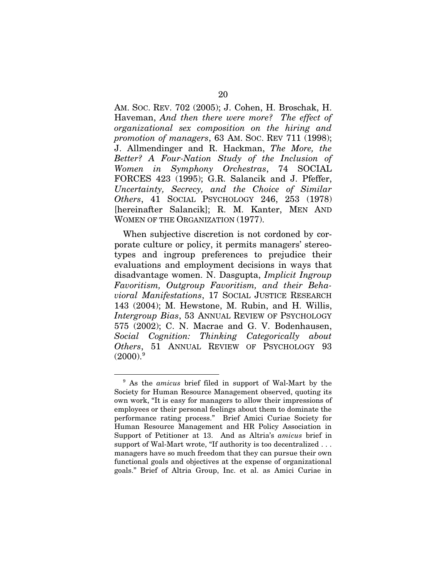AM. SOC. REV. 702 (2005); J. Cohen, H. Broschak, H. Haveman, *And then there were more? The effect of organizational sex composition on the hiring and promotion of managers*, 63 AM. SOC. REV 711 (1998); J. Allmendinger and R. Hackman, *The More, the Better? A Four-Nation Study of the Inclusion of Women in Symphony Orchestras*, 74 SOCIAL FORCES 423 (1995); G.R. Salancik and J. Pfeffer, *Uncertainty, Secrecy, and the Choice of Similar Others*, 41 SOCIAL PSYCHOLOGY 246, 253 (1978) [hereinafter Salancik]; R. M. Kanter, MEN AND WOMEN OF THE ORGANIZATION (1977).

When subjective discretion is not cordoned by corporate culture or policy, it permits managers' stereotypes and ingroup preferences to prejudice their evaluations and employment decisions in ways that disadvantage women. N. Dasgupta, *Implicit Ingroup Favoritism, Outgroup Favoritism, and their Behavioral Manifestations*, 17 SOCIAL JUSTICE RESEARCH 143 (2004); M. Hewstone, M. Rubin, and H. Willis, *Intergroup Bias*, 53 ANNUAL REVIEW OF PSYCHOLOGY 575 (2002); C. N. Macrae and G. V. Bodenhausen, *Social Cognition: Thinking Categorically about Others*, 51 ANNUAL REVIEW OF PSYCHOLOGY 93  $(2000).<sup>9</sup>$ 

-

<span id="page-34-0"></span><sup>9</sup> As the *amicus* brief filed in support of Wal-Mart by the Society for Human Resource Management observed, quoting its own work, "It is easy for managers to allow their impressions of employees or their personal feelings about them to dominate the performance rating process." Brief Amici Curiae Society for Human Resource Management and HR Policy Association in Support of Petitioner at 13. And as Altria's *amicus* brief in support of Wal-Mart wrote, "If authority is too decentralized . . . managers have so much freedom that they can pursue their own functional goals and objectives at the expense of organizational goals." Brief of Altria Group, Inc. et al. as Amici Curiae in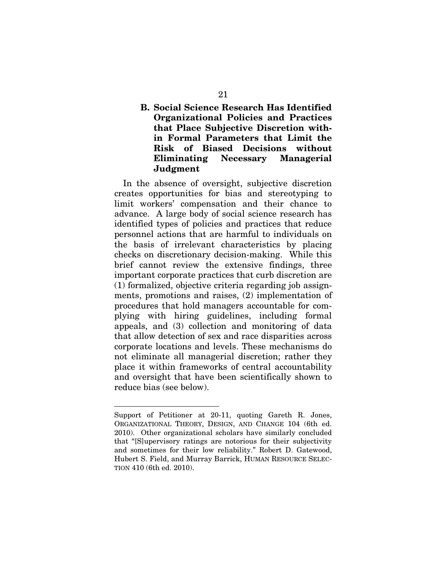### **B. Social Science Research Has Identified Organizational Policies and Practices that Place Subjective Discretion within Formal Parameters that Limit the Risk of Biased Decisions without Eliminating Necessary Managerial Judgment**

In the absence of oversight, subjective discretion creates opportunities for bias and stereotyping to limit workers' compensation and their chance to advance. A large body of social science research has identified types of policies and practices that reduce personnel actions that are harmful to individuals on the basis of irrelevant characteristics by placing checks on discretionary decision-making. While this brief cannot review the extensive findings, three important corporate practices that curb discretion are (1) formalized, objective criteria regarding job assignments, promotions and raises, (2) implementation of procedures that hold managers accountable for complying with hiring guidelines, including formal appeals, and (3) collection and monitoring of data that allow detection of sex and race disparities across corporate locations and levels. These mechanisms do not eliminate all managerial discretion; rather they place it within frameworks of central accountability and oversight that have been scientifically shown to reduce bias (see below).

Support of Petitioner at 20-11, quoting Gareth R. Jones, ORGANIZATIONAL THEORY, DESIGN, AND CHANGE 104 (6th ed. 2010). Other organizational scholars have similarly concluded that "[S]upervisory ratings are notorious for their subjectivity and sometimes for their low reliability." Robert D. Gatewood, Hubert S. Field, and Murray Barrick, HUMAN RESOURCE SELEC-TION 410 (6th ed. 2010).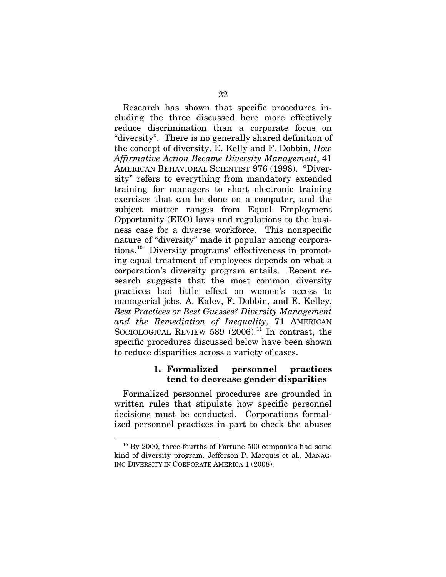Research has shown that specific procedures including the three discussed here more effectively reduce discrimination than a corporate focus on "diversity". There is no generally shared definition of the concept of diversity. E. Kelly and F. Dobbin, *How Affirmative Action Became Diversity Management*, 41 AMERICAN BEHAVIORAL SCIENTIST 976 (1998). "Diversity" refers to everything from mandatory extended training for managers to short electronic training exercises that can be done on a computer, and the subject matter ranges from Equal Employment Opportunity (EEO) laws and regulations to the business case for a diverse workforce. This nonspecific nature of "diversity" made it popular among corporations.[10](#page-36-0) Diversity programs' effectiveness in promoting equal treatment of employees depends on what a corporation's diversity program entails. Recent research suggests that the most common diversity practices had little effect on women's access to managerial jobs. A. Kalev, F. Dobbin, and E. Kelley, *Best Practices or Best Guesses? Diversity Management and the Remediation of Inequality*, 71 AMERICAN SOCIOLOGICAL REVIEW  $589$  (2006).<sup>[11](#page-36-1)</sup> In contrast, the specific procedures discussed below have been shown to reduce disparities across a variety of cases.

#### **1. Formalized personnel practices tend to decrease gender disparities**

Formalized personnel procedures are grounded in written rules that stipulate how specific personnel decisions must be conducted. Corporations formalized personnel practices in part to check the abuses

-

<span id="page-36-1"></span><span id="page-36-0"></span><sup>&</sup>lt;sup>10</sup> By 2000, three-fourths of Fortune 500 companies had some kind of diversity program. Jefferson P. Marquis et al*.*, MANAG-ING DIVERSITY IN CORPORATE AMERICA 1 (2008).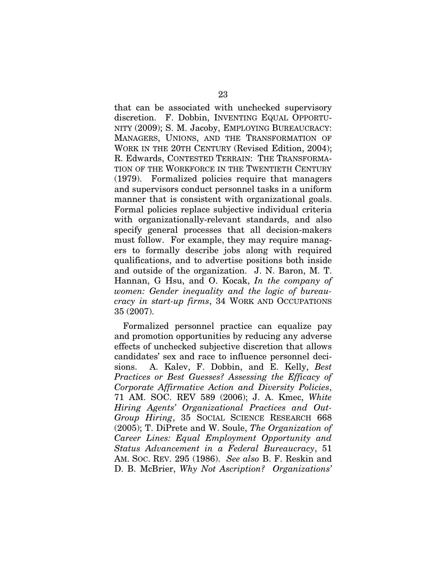that can be associated with unchecked supervisory discretion. F. Dobbin, INVENTING EQUAL OPPORTU-NITY (2009); S. M. Jacoby, [EMPLOYING BUREAUCRACY:](http://www.amazon.com/Employing-Bureaucracy-Transformation-Organization-Management/dp/0805844090/ref=sr_1_3?s=books&ie=UTF8&qid=1298048395&sr=1-3) MANAGERS, UNIONS, [AND THE TRANSFORMATION OF](http://www.amazon.com/Employing-Bureaucracy-Transformation-Organization-Management/dp/0805844090/ref=sr_1_3?s=books&ie=UTF8&qid=1298048395&sr=1-3)  [WORK IN THE 20TH CENTURY \(Revised Edition,](http://www.amazon.com/Employing-Bureaucracy-Transformation-Organization-Management/dp/0805844090/ref=sr_1_3?s=books&ie=UTF8&qid=1298048395&sr=1-3) 2004); R. Edwards, CONTESTED TERRAIN: THE TRANSFORMA-TION OF THE WORKFORCE IN THE TWENTIETH CENTURY (1979). Formalized policies require that managers and supervisors conduct personnel tasks in a uniform manner that is consistent with organizational goals. Formal policies replace subjective individual criteria with organizationally-relevant standards, and also specify general processes that all decision-makers must follow. For example, they may require managers to formally describe jobs along with required qualifications, and to advertise positions both inside and outside of the organization. J. N. Baron, M. T. Hannan, G Hsu, and O. Kocak, *In the company of women: Gender inequality and the logic of bureaucracy in start-up firms*, 34 WORK AND OCCUPATIONS 35 (2007).

Formalized personnel practice can equalize pay and promotion opportunities by reducing any adverse effects of unchecked subjective discretion that allows candidates' sex and race to influence personnel decisions. A. Kalev, F. Dobbin, and E. Kelly, *Best Practices or Best Guesses? Assessing the Efficacy of Corporate Affirmative Action and Diversity Policies*, 71 AM. SOC. REV 589 (2006); J. A. Kmec, *White Hiring Agents' Organizational Practices and Out-Group Hiring*, 35 SOCIAL SCIENCE RESEARCH 668 (2005); T. DiPrete and W. Soule, *The Organization of Career Lines: Equal Employment Opportunity and Status Advancement in a Federal Bureaucracy*, 51 AM. SOC. REV. 295 (1986). *See also* B. F. Reskin and D. B. McBrier, *Why Not Ascription? Organizations'*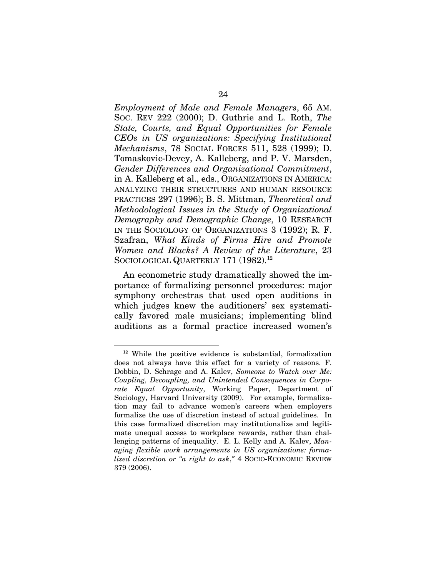*Employment of Male and Female Managers*, 65 AM. SOC. REV 222 (2000); D. Guthrie and L. Roth, *The State, Courts, and Equal Opportunities for Female CEOs in US organizations: Specifying Institutional Mechanisms*, 78 SOCIAL FORCES 511, 528 (1999); D. Tomaskovic-Devey, A. Kalleberg, and P. V. Marsden, *Gender Differences and Organizational Commitment*, in A. Kalleberg et al., eds., ORGANIZATIONS IN AMERICA: ANALYZING THEIR STRUCTURES AND HUMAN RESOURCE PRACTICES 297 (1996); B. S. Mittman, *Theoretical and Methodological Issues in the Study of Organizational Demography and Demographic Change*, 10 RESEARCH IN THE SOCIOLOGY OF ORGANIZATIONS 3 (1992); R. F. Szafran, *What Kinds of Firms Hire and Promote Women and Blacks? A Review of the Literature*, 23 SOCIOLOGICAL QUARTERLY 171 (1982).<sup>[12](#page-38-0)</sup>

An econometric study dramatically showed the importance of formalizing personnel procedures: major symphony orchestras that used open auditions in which judges knew the auditioners' sex systematically favored male musicians; implementing blind auditions as a formal practice increased women's

<span id="page-38-0"></span><sup>&</sup>lt;sup>12</sup> While the positive evidence is substantial, formalization does not always have this effect for a variety of reasons. F. Dobbin, D. Schrage and A. Kalev, *Someone to Watch over Me: Coupling, Decoupling, and Unintended Consequences in Corporate Equal Opportunity*, Working Paper, Department of Sociology, Harvard University (2009). For example, formalization may fail to advance women's careers when employers formalize the use of discretion instead of actual guidelines. In this case formalized discretion may institutionalize and legitimate unequal access to workplace rewards, rather than challenging patterns of inequality. E. L. Kelly and A. Kalev, *Managing flexible work arrangements in US organizations: formalized discretion or "a right to ask*,*"* 4 SOCIO-ECONOMIC REVIEW 379 (2006).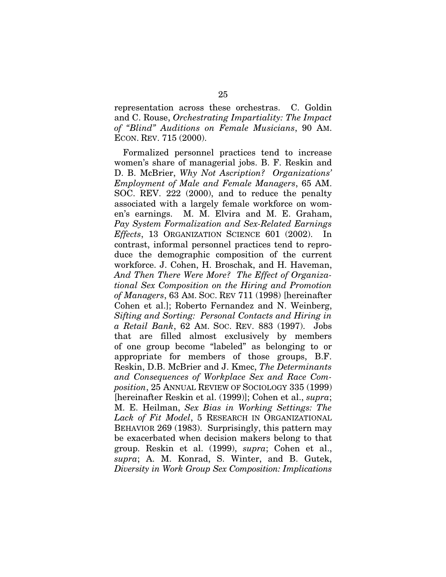representation across these orchestras. C. Goldin and C. Rouse, *Orchestrating Impartiality: The Impact of "Blind" Auditions on Female Musicians*, 90 AM. ECON. REV. 715 (2000).

Formalized personnel practices tend to increase women's share of managerial jobs. B. F. Reskin and D. B. McBrier, *Why Not Ascription? Organizations' Employment of Male and Female Managers*, 65 AM. SOC. REV. 222 (2000), and to reduce the penalty associated with a largely female workforce on women's earnings. M. M. Elvira and M. E. Graham, *Pay System Formalization and Sex-Related Earnings Effects*, 13 ORGANIZATION SCIENCE 601 (2002). In contrast, informal personnel practices tend to reproduce the demographic composition of the current workforce. J. Cohen, H. Broschak, and H. Haveman, *And Then There Were More? The Effect of Organizational Sex Composition on the Hiring and Promotion of Managers*, 63 AM. SOC. REV 711 (1998) [hereinafter Cohen et al.]; Roberto Fernandez and N. Weinberg, *Sifting and Sorting: Personal Contacts and Hiring in a Retail Bank*, 62 AM. SOC. REV. 883 (1997). Jobs that are filled almost exclusively by members of one group become "labeled" as belonging to or appropriate for members of those groups, B.F. Reskin, D.B. McBrier and J. Kmec, *The Determinants and Consequences of Workplace Sex and Race Composition*, 25 ANNUAL REVIEW OF SOCIOLOGY 335 (1999) [hereinafter Reskin et al. (1999)]; Cohen et al., *supra*; M. E. Heilman, *Sex Bias in Working Settings: The Lack of Fit Model*, 5 RESEARCH IN ORGANIZATIONAL BEHAVIOR 269 (1983). Surprisingly, this pattern may be exacerbated when decision makers belong to that group. Reskin et al. (1999), *supra*; Cohen et al., *supra*; A. M. Konrad, S. Winter, and B. Gutek, *Diversity in Work Group Sex Composition: Implications*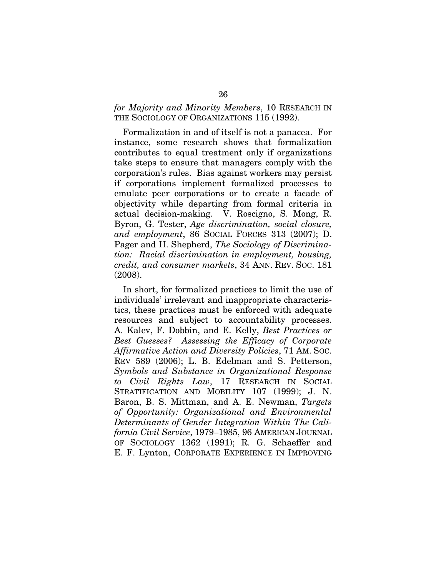#### *for Majority and Minority Members*, 10 RESEARCH IN THE SOCIOLOGY OF ORGANIZATIONS 115 (1992).

Formalization in and of itself is not a panacea. For instance, some research shows that formalization contributes to equal treatment only if organizations take steps to ensure that managers comply with the corporation's rules. Bias against workers may persist if corporations implement formalized processes to emulate peer corporations or to create a facade of objectivity while departing from formal criteria in actual decision-making. V. Roscigno, S. Mong, R. Byron, G. Tester, *Age discrimination, social closure, and employment*, 86 SOCIAL FORCES 313 (2007); D. Pager and H. Shepherd, *The Sociology of Discrimination: Racial discrimination in employment, housing, credit, and consumer markets*, 34 ANN. REV. SOC. 181 (2008).

In short, for formalized practices to limit the use of individuals' irrelevant and inappropriate characteristics, these practices must be enforced with adequate resources and subject to accountability processes. A. Kalev, F. Dobbin, and E. Kelly, *Best Practices or Best Guesses? Assessing the Efficacy of Corporate Affirmative Action and Diversity Policies*, 71 AM. SOC. REV 589 (2006); L. B. Edelman and S. Petterson, *Symbols and Substance in Organizational Response to Civil Rights Law*, 17 RESEARCH IN SOCIAL STRATIFICATION AND MOBILITY 107 (1999); J. N. Baron, B. S. Mittman, and A. E. Newman, *Targets of Opportunity: Organizational and Environmental Determinants of Gender Integration Within The California Civil Service*, 1979–1985, 96 AMERICAN JOURNAL OF SOCIOLOGY 1362 (1991); R. G. Schaeffer and E. F. Lynton, CORPORATE EXPERIENCE IN IMPROVING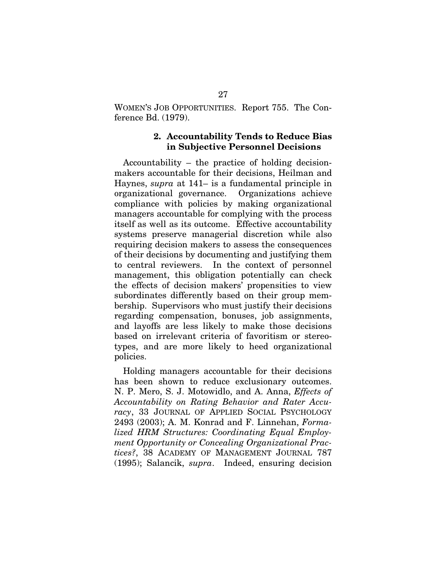WOMEN'S JOB OPPORTUNITIES. Report 755. The Conference Bd. (1979).

#### **2. Accountability Tends to Reduce Bias in Subjective Personnel Decisions**

Accountability – the practice of holding decisionmakers accountable for their decisions, Heilman and Haynes, *supra* at 141– is a fundamental principle in organizational governance. Organizations achieve compliance with policies by making organizational managers accountable for complying with the process itself as well as its outcome. Effective accountability systems preserve managerial discretion while also requiring decision makers to assess the consequences of their decisions by documenting and justifying them to central reviewers. In the context of personnel management, this obligation potentially can check the effects of decision makers' propensities to view subordinates differently based on their group membership. Supervisors who must justify their decisions regarding compensation, bonuses, job assignments, and layoffs are less likely to make those decisions based on irrelevant criteria of favoritism or stereotypes, and are more likely to heed organizational policies.

Holding managers accountable for their decisions has been shown to reduce exclusionary outcomes. N. P. Mero, S. J. Motowidlo, and A. Anna, *Effects of Accountability on Rating Behavior and Rater Accuracy*, 33 JOURNAL OF APPLIED SOCIAL PSYCHOLOGY 2493 (2003); A. M. Konrad and F. Linnehan, *Formalized HRM Structures: Coordinating Equal Employment Opportunity or Concealing Organizational Practices?*, 38 ACADEMY OF MANAGEMENT JOURNAL 787 (1995); Salancik, *supra*. Indeed, ensuring decision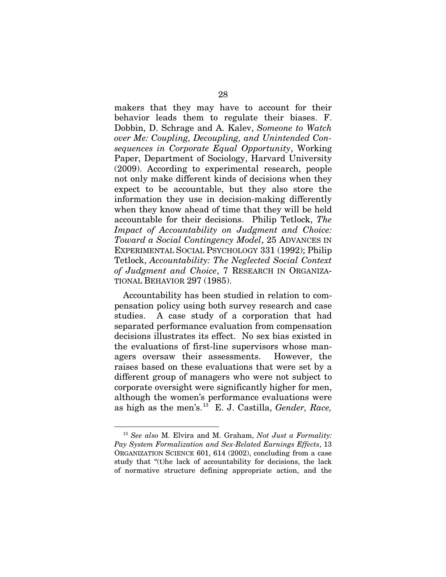makers that they may have to account for their behavior leads them to regulate their biases. F. Dobbin, D. Schrage and A. Kalev, *Someone to Watch over Me: Coupling, Decoupling, and Unintended Consequences in Corporate Equal Opportunity*, Working Paper, Department of Sociology, Harvard University (2009). According to experimental research, people not only make different kinds of decisions when they expect to be accountable, but they also store the information they use in decision-making differently when they know ahead of time that they will be held accountable for their decisions. Philip Tetlock, *The Impact of Accountability on Judgment and Choice: Toward a Social Contingency Model*, 25 ADVANCES IN EXPERIMENTAL SOCIAL PSYCHOLOGY 331 (1992); Philip Tetlock, *Accountability: The Neglected Social Context of Judgment and Choice*, 7 RESEARCH IN ORGANIZA-TIONAL BEHAVIOR 297 (1985).

Accountability has been studied in relation to compensation policy using both survey research and case studies. A case study of a corporation that had separated performance evaluation from compensation decisions illustrates its effect. No sex bias existed in the evaluations of first-line supervisors whose managers oversaw their assessments. However, the raises based on these evaluations that were set by a different group of managers who were not subject to corporate oversight were significantly higher for men, although the women's performance evaluations were as high as the men's.[13](#page-42-0) E. J. Castilla, *Gender, Race,* 

-

<span id="page-42-0"></span><sup>13</sup> *See also* M. Elvira and M. Graham, *Not Just a Formality: Pay System Formalization and Sex-Related Earnings Effects*, 13 ORGANIZATION SCIENCE 601, 614 (2002), concluding from a case study that "(t)he lack of accountability for decisions, the lack of normative structure defining appropriate action, and the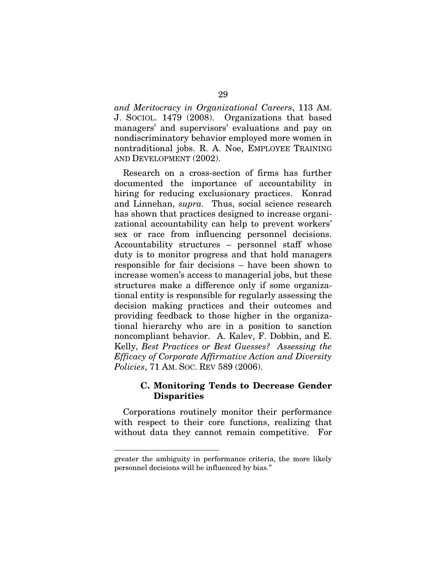*and Meritocracy in Organizational Careers*, 113 AM. J. SOCIOL. 1479 (2008). Organizations that based managers' and supervisors' evaluations and pay on nondiscriminatory behavior employed more women in nontraditional jobs. R. A. Noe, EMPLOYEE TRAINING AND DEVELOPMENT (2002).

Research on a cross-section of firms has further documented the importance of accountability in hiring for reducing exclusionary practices. Konrad and Linnehan, *supra.* Thus, social science research has shown that practices designed to increase organizational accountability can help to prevent workers' sex or race from influencing personnel decisions. Accountability structures – personnel staff whose duty is to monitor progress and that hold managers responsible for fair decisions – have been shown to increase women's access to managerial jobs, but these structures make a difference only if some organizational entity is responsible for regularly assessing the decision making practices and their outcomes and providing feedback to those higher in the organizational hierarchy who are in a position to sanction noncompliant behavior. A. Kalev, F. Dobbin, and E. Kelly, *Best Practices or Best Guesses? Assessing the Efficacy of Corporate Affirmative Action and Diversity Policies*, 71 AM. SOC. REV 589 (2006).

#### **C. Monitoring Tends to Decrease Gender Disparities**

Corporations routinely monitor their performance with respect to their core functions, realizing that without data they cannot remain competitive. For

greater the ambiguity in performance criteria, the more likely personnel decisions will be influenced by bias."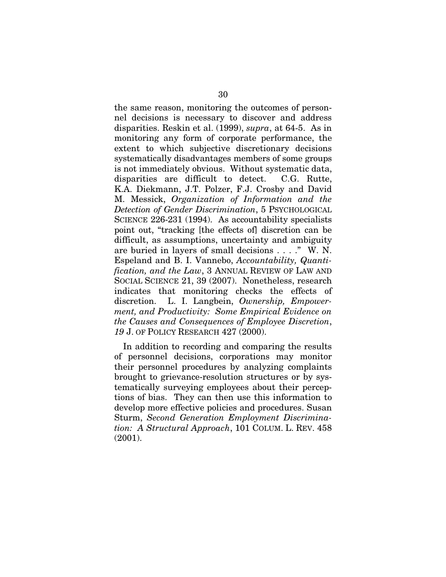the same reason, monitoring the outcomes of personnel decisions is necessary to discover and address disparities. Reskin et al. (1999), *supra*, at 64-5. As in monitoring any form of corporate performance, the extent to which subjective discretionary decisions systematically disadvantages members of some groups is not immediately obvious. Without systematic data, disparities are difficult to detect. C.G. Rutte, K.A. Diekmann, J.T. Polzer, F.J. Crosby and David M. Messick, *Organization of Information and the Detection of Gender Discrimination*, 5 PSYCHOLOGICAL SCIENCE 226-231 (1994). As accountability specialists point out, "tracking [the effects of] discretion can be difficult, as assumptions, uncertainty and ambiguity are buried in layers of small decisions . . . ." W. N. Espeland and B. I. Vannebo, *Accountability, Quantification, and the Law*, 3 ANNUAL REVIEW OF LAW AND SOCIAL SCIENCE 21, 39 (2007). Nonetheless, research indicates that monitoring checks the effects of discretion. L. I. Langbein, *Ownership, Empowerment, and Productivity: Some Empirical Evidence on the Causes and Consequences of Employee Discretion*, *19* J. OF POLICY RESEARCH 427 (2000).

In addition to recording and comparing the results of personnel decisions, corporations may monitor their personnel procedures by analyzing complaints brought to grievance-resolution structures or by systematically surveying employees about their perceptions of bias. They can then use this information to develop more effective policies and procedures. Susan Sturm, *Second Generation Employment Discrimination: A Structural Approach*, 101 COLUM. L. REV. 458 (2001).